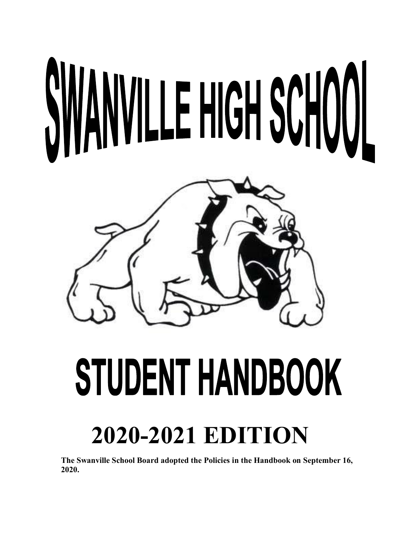# NVILLE HIGH SCHOOL



## STUDENT HANDBOOK

### **2020-2021 EDITION**

**The Swanville School Board adopted the Policies in the Handbook on September 16, 2020.**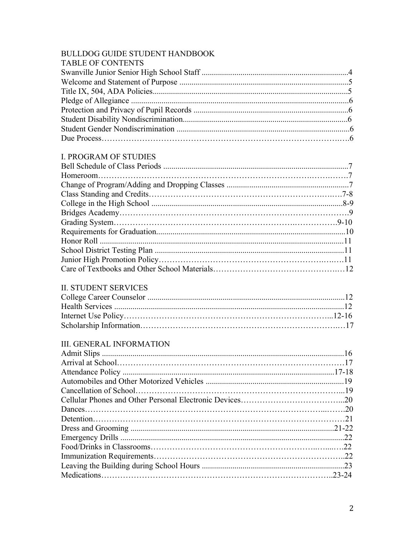#### BULLDOG GUIDE STUDENT HANDBOOK<br>TABLE OF CONTENTS

| TABLE OF CONTENTS |  |
|-------------------|--|
|                   |  |
|                   |  |
|                   |  |
|                   |  |
|                   |  |
|                   |  |
|                   |  |
|                   |  |
|                   |  |

#### **I. PROGRAM OF STUDIES**

#### **II. STUDENT SERVICES**

#### **III. GENERAL INFORMATION**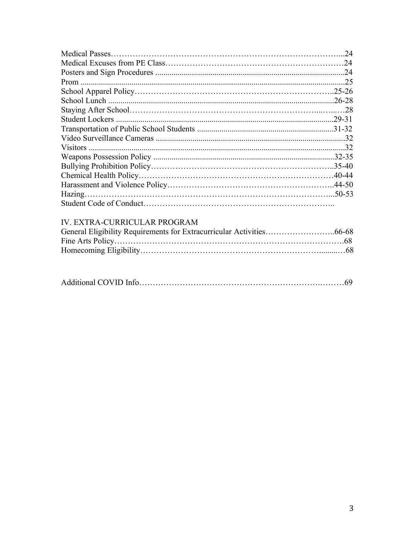#### IV. EXTRA-CURRICULAR PROGRAM

|--|--|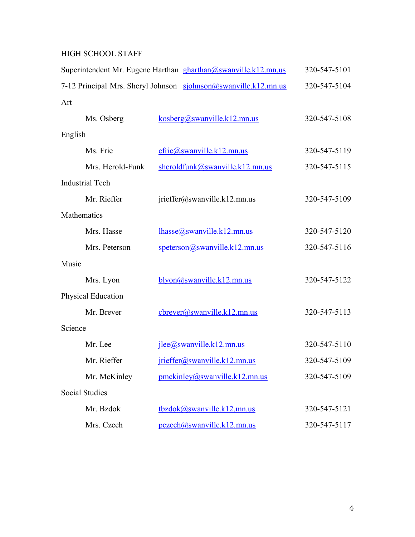#### HIGH SCHOOL STAFF

|                    |                        | Superintendent Mr. Eugene Harthan gharthan@swanville.k12.mn.us  | 320-547-5101 |
|--------------------|------------------------|-----------------------------------------------------------------|--------------|
|                    |                        | 7-12 Principal Mrs. Sheryl Johnson sjohnson@swanville.k12.mn.us | 320-547-5104 |
| Art                |                        |                                                                 |              |
|                    | Ms. Osberg             | kosberg(a)swanville.k12.mn.us                                   | 320-547-5108 |
| English            |                        |                                                                 |              |
|                    | Ms. Frie               | $c$ frie $@s$ wanville.k12.mn.us                                | 320-547-5119 |
|                    | Mrs. Herold-Funk       | sheroldfunk@swanville.k12.mn.us                                 | 320-547-5115 |
|                    | <b>Industrial Tech</b> |                                                                 |              |
|                    | Mr. Rieffer            | jrieffer@swanville.k12.mn.us                                    | 320-547-5109 |
| Mathematics        |                        |                                                                 |              |
|                    | Mrs. Hasse             | $1$ hasse $@s$ wanville.k12.mn.us                               | 320-547-5120 |
|                    | Mrs. Peterson          | $s$ peterson@swanville.k12.mn.us                                | 320-547-5116 |
| Music              |                        |                                                                 |              |
|                    | Mrs. Lyon              | blyon@swanville.k12.mn.us                                       | 320-547-5122 |
| Physical Education |                        |                                                                 |              |
|                    | Mr. Brever             | cbrever@swanville.k12.mn.us                                     | 320-547-5113 |
| Science            |                        |                                                                 |              |
|                    | Mr. Lee                | jlee@swanville.k12.mn.us                                        | 320-547-5110 |
|                    | Mr. Rieffer            | jrieffer@swanville.k12.mn.us                                    | 320-547-5109 |
|                    | Mr. McKinley           | pmckinley@swanville.k12.mn.us                                   | 320-547-5109 |
|                    | <b>Social Studies</b>  |                                                                 |              |
|                    | Mr. Bzdok              | tbzdok@swanville.k12.mn.us                                      | 320-547-5121 |
|                    | Mrs. Czech             | pczech@swanville.k12.mn.us                                      | 320-547-5117 |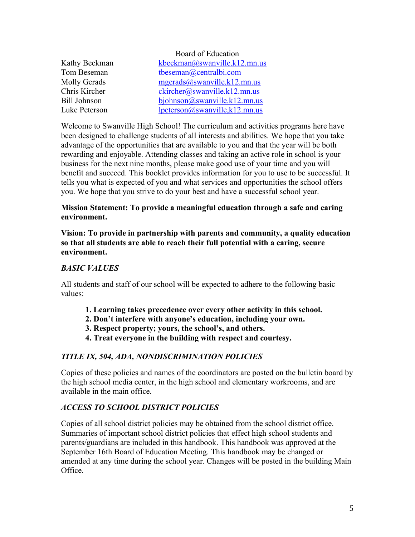|                     | Board of Education            |
|---------------------|-------------------------------|
| Kathy Beckman       | kbeckman@swanville.k12.mn.us  |
| Tom Beseman         | tbeseman@centralbi.com        |
| Molly Gerads        | mgerads@swanville.k12.mn.us   |
| Chris Kircher       | ckircher@swanville.k12.mn.us  |
| <b>Bill Johnson</b> | bjohnson@swanville.k12.mn.us  |
| Luke Peterson       | lpeterson@swanville,k12.mn.us |

Welcome to Swanville High School! The curriculum and activities programs here have been designed to challenge students of all interests and abilities. We hope that you take advantage of the opportunities that are available to you and that the year will be both rewarding and enjoyable. Attending classes and taking an active role in school is your business for the next nine months, please make good use of your time and you will benefit and succeed. This booklet provides information for you to use to be successful. It tells you what is expected of you and what services and opportunities the school offers you. We hope that you strive to do your best and have a successful school year.

#### **Mission Statement: To provide a meaningful education through a safe and caring environment.**

**Vision: To provide in partnership with parents and community, a quality education so that all students are able to reach their full potential with a caring, secure environment.** 

#### *BASIC VALUES*

All students and staff of our school will be expected to adhere to the following basic values:

- **1. Learning takes precedence over every other activity in this school.**
- **2. Don't interfere with anyone's education, including your own.**
- **3. Respect property; yours, the school's, and others.**
- **4. Treat everyone in the building with respect and courtesy.**

#### *TITLE IX, 504, ADA, NONDISCRIMINATION POLICIES*

Copies of these policies and names of the coordinators are posted on the bulletin board by the high school media center, in the high school and elementary workrooms, and are available in the main office.

#### *ACCESS TO SCHOOL DISTRICT POLICIES*

Copies of all school district policies may be obtained from the school district office. Summaries of important school district policies that effect high school students and parents/guardians are included in this handbook. This handbook was approved at the September 16th Board of Education Meeting. This handbook may be changed or amended at any time during the school year. Changes will be posted in the building Main Office.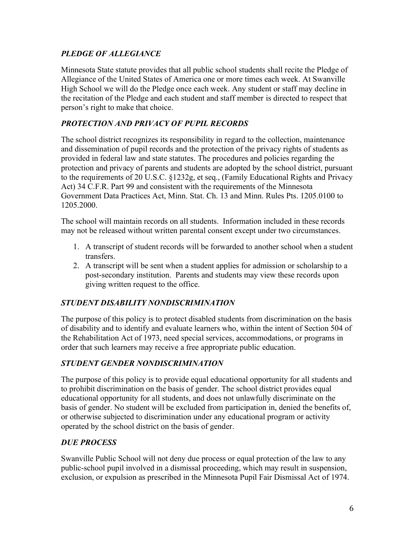#### *PLEDGE OF ALLEGIANCE*

Minnesota State statute provides that all public school students shall recite the Pledge of Allegiance of the United States of America one or more times each week. At Swanville High School we will do the Pledge once each week. Any student or staff may decline in the recitation of the Pledge and each student and staff member is directed to respect that person's right to make that choice.

#### *PROTECTION AND PRIVACY OF PUPIL RECORDS*

The school district recognizes its responsibility in regard to the collection, maintenance and dissemination of pupil records and the protection of the privacy rights of students as provided in federal law and state statutes. The procedures and policies regarding the protection and privacy of parents and students are adopted by the school district, pursuant to the requirements of 20 U.S.C. §1232g, et seq., (Family Educational Rights and Privacy Act) 34 C.F.R. Part 99 and consistent with the requirements of the Minnesota Government Data Practices Act, Minn. Stat. Ch. 13 and Minn. Rules Pts. 1205.0100 to 1205.2000.

The school will maintain records on all students. Information included in these records may not be released without written parental consent except under two circumstances.

- 1. A transcript of student records will be forwarded to another school when a student transfers.
- 2. A transcript will be sent when a student applies for admission or scholarship to a post-secondary institution. Parents and students may view these records upon giving written request to the office.

#### *STUDENT DISABILITY NONDISCRIMINATION*

The purpose of this policy is to protect disabled students from discrimination on the basis of disability and to identify and evaluate learners who, within the intent of Section 504 of the Rehabilitation Act of 1973, need special services, accommodations, or programs in order that such learners may receive a free appropriate public education.

#### *STUDENT GENDER NONDISCRIMINATION*

The purpose of this policy is to provide equal educational opportunity for all students and to prohibit discrimination on the basis of gender. The school district provides equal educational opportunity for all students, and does not unlawfully discriminate on the basis of gender. No student will be excluded from participation in, denied the benefits of, or otherwise subjected to discrimination under any educational program or activity operated by the school district on the basis of gender.

#### *DUE PROCESS*

Swanville Public School will not deny due process or equal protection of the law to any public-school pupil involved in a dismissal proceeding, which may result in suspension, exclusion, or expulsion as prescribed in the Minnesota Pupil Fair Dismissal Act of 1974.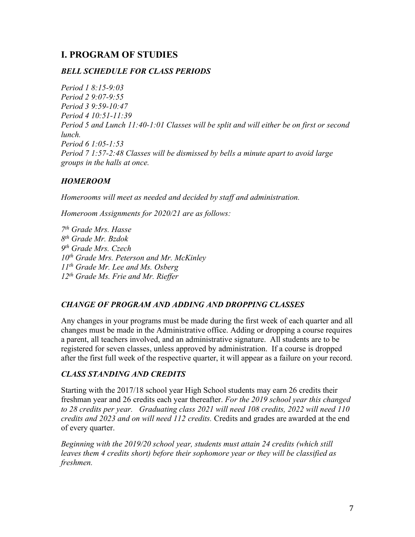#### **I. PROGRAM OF STUDIES**

#### *BELL SCHEDULE FOR CLASS PERIODS*

*Period 1 8:15-9:03 Period 2 9:07-9:55 Period 3 9:59-10:47 Period 4 10:51-11:39 Period 5 and Lunch 11:40-1:01 Classes will be split and will either be on first or second lunch. Period 6 1:05-1:53 Period 7 1:57-2:48 Classes will be dismissed by bells a minute apart to avoid large groups in the halls at once.* 

#### *HOMEROOM*

*Homerooms will meet as needed and decided by staff and administration.*

*Homeroom Assignments for 2020/21 are as follows:*

 *th Grade Mrs. Hasse th Grade Mr. Bzdok th Grade Mrs. Czech th Grade Mrs. Peterson and Mr. McKinley th Grade Mr. Lee and Ms. Osberg th Grade Ms. Frie and Mr. Rieffer*

#### *CHANGE OF PROGRAM AND ADDING AND DROPPING CLASSES*

Any changes in your programs must be made during the first week of each quarter and all changes must be made in the Administrative office. Adding or dropping a course requires a parent, all teachers involved, and an administrative signature. All students are to be registered for seven classes, unless approved by administration. If a course is dropped after the first full week of the respective quarter, it will appear as a failure on your record.

#### *CLASS STANDING AND CREDITS*

Starting with the 2017/18 school year High School students may earn 26 credits their freshman year and 26 credits each year thereafter. *For the 2019 school year this changed to 28 credits per year. Graduating class 2021 will need 108 credits, 2022 will need 110 credits and 2023 and on will need 112 credits.* Credits and grades are awarded at the end of every quarter.

*Beginning with the 2019/20 school year, students must attain 24 credits (which still leaves them 4 credits short) before their sophomore year or they will be classified as freshmen.*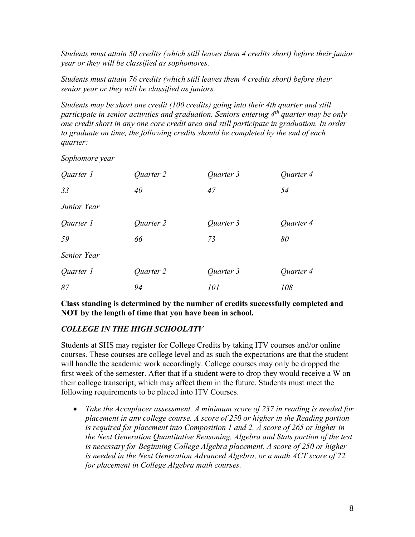*Students must attain 50 credits (which still leaves them 4 credits short) before their junior year or they will be classified as sophomores.* 

*Students must attain 76 credits (which still leaves them 4 credits short) before their senior year or they will be classified as juniors.*

*Students may be short one credit (100 credits) going into their 4th quarter and still participate in senior activities and graduation. Seniors entering 4 th quarter may be only one credit short in any one core credit area and still participate in graduation. In order to graduate on time, the following credits should be completed by the end of each quarter:*

*Sophomore year*

| Quarter 1   | Quarter 2 | Quarter 3 | Quarter 4 |
|-------------|-----------|-----------|-----------|
| 33          | 40        | 47        | 54        |
| Junior Year |           |           |           |
| Quarter 1   | Quarter 2 | Quarter 3 | Quarter 4 |
| 59          | 66        | 73        | 80        |
| Senior Year |           |           |           |
| Quarter 1   | Quarter 2 | Quarter 3 | Quarter 4 |
| 87          | 94        | 101       | 108       |

**Class standing is determined by the number of credits successfully completed and NOT by the length of time that you have been in school.** 

#### *COLLEGE IN THE HIGH SCHOOL/ITV*

Students at SHS may register for College Credits by taking ITV courses and/or online courses. These courses are college level and as such the expectations are that the student will handle the academic work accordingly. College courses may only be dropped the first week of the semester. After that if a student were to drop they would receive a W on their college transcript, which may affect them in the future. Students must meet the following requirements to be placed into ITV Courses.

• *Take the Accuplacer assessment. A minimum score of 237 in reading is needed for placement in any college course. A score of 250 or higher in the Reading portion is required for placement into Composition 1 and 2. A score of 265 or higher in the Next Generation Quantitative Reasoning, Algebra and Stats portion of the test is necessary for Beginning College Algebra placement. A score of 250 or higher is needed in the Next Generation Advanced Algebra, or a math ACT score of 22 for placement in College Algebra math courses.*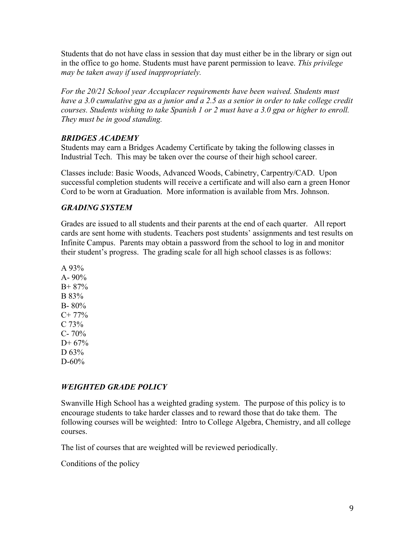Students that do not have class in session that day must either be in the library or sign out in the office to go home. Students must have parent permission to leave. *This privilege may be taken away if used inappropriately.* 

*For the 20/21 School year Accuplacer requirements have been waived. Students must have a 3.0 cumulative gpa as a junior and a 2.5 as a senior in order to take college credit courses. Students wishing to take Spanish 1 or 2 must have a 3.0 gpa or higher to enroll. They must be in good standing.* 

#### *BRIDGES ACADEMY*

Students may earn a Bridges Academy Certificate by taking the following classes in Industrial Tech. This may be taken over the course of their high school career.

Classes include: Basic Woods, Advanced Woods, Cabinetry, Carpentry/CAD. Upon successful completion students will receive a certificate and will also earn a green Honor Cord to be worn at Graduation. More information is available from Mrs. Johnson.

#### *GRADING SYSTEM*

Grades are issued to all students and their parents at the end of each quarter. All report cards are sent home with students. Teachers post students' assignments and test results on Infinite Campus. Parents may obtain a password from the school to log in and monitor their student's progress. The grading scale for all high school classes is as follows:

A 93% A-  $90\%$ B+ 87% B 83% B- 80%  $C+ 77\%$  $C$  73%  $C - 70%$ D+ 67% D 63% D-60%

#### *WEIGHTED GRADE POLICY*

Swanville High School has a weighted grading system. The purpose of this policy is to encourage students to take harder classes and to reward those that do take them. The following courses will be weighted: Intro to College Algebra, Chemistry, and all college courses.

The list of courses that are weighted will be reviewed periodically.

Conditions of the policy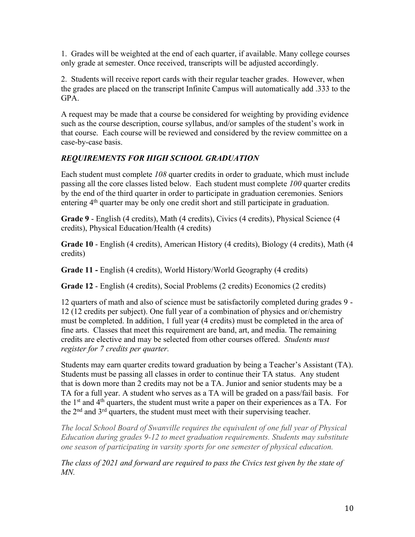1. Grades will be weighted at the end of each quarter, if available. Many college courses only grade at semester. Once received, transcripts will be adjusted accordingly.

2. Students will receive report cards with their regular teacher grades. However, when the grades are placed on the transcript Infinite Campus will automatically add .333 to the GPA.

A request may be made that a course be considered for weighting by providing evidence such as the course description, course syllabus, and/or samples of the student's work in that course. Each course will be reviewed and considered by the review committee on a case-by-case basis.

#### *REQUIREMENTS FOR HIGH SCHOOL GRADUATION*

Each student must complete *108* quarter credits in order to graduate, which must include passing all the core classes listed below. Each student must complete *100* quarter credits by the end of the third quarter in order to participate in graduation ceremonies. Seniors entering 4<sup>th</sup> quarter may be only one credit short and still participate in graduation.

**Grade 9** - English (4 credits), Math (4 credits), Civics (4 credits), Physical Science (4 credits), Physical Education/Health (4 credits)

**Grade 10** - English (4 credits), American History (4 credits), Biology (4 credits), Math (4 credits)

**Grade 11 -** English (4 credits), World History/World Geography (4 credits)

**Grade 12** - English (4 credits), Social Problems (2 credits) Economics (2 credits)

12 quarters of math and also of science must be satisfactorily completed during grades 9 - 12 (12 credits per subject). One full year of a combination of physics and or/chemistry must be completed. In addition, 1 full year (4 credits) must be completed in the area of fine arts. Classes that meet this requirement are band, art, and media. The remaining credits are elective and may be selected from other courses offered. *Students must register for 7 credits per quarter.*

Students may earn quarter credits toward graduation by being a Teacher's Assistant (TA). Students must be passing all classes in order to continue their TA status. Any student that is down more than 2 credits may not be a TA. Junior and senior students may be a TA for a full year. A student who serves as a TA will be graded on a pass/fail basis.For the  $1<sup>st</sup>$  and  $4<sup>th</sup>$  quarters, the student must write a paper on their experiences as a TA. For the  $2<sup>nd</sup>$  and  $3<sup>rd</sup>$  quarters, the student must meet with their supervising teacher.

*The local School Board of Swanville requires the equivalent of one full year of Physical Education during grades 9-12 to meet graduation requirements. Students may substitute one season of participating in varsity sports for one semester of physical education.*

*The class of 2021 and forward are required to pass the Civics test given by the state of MN.*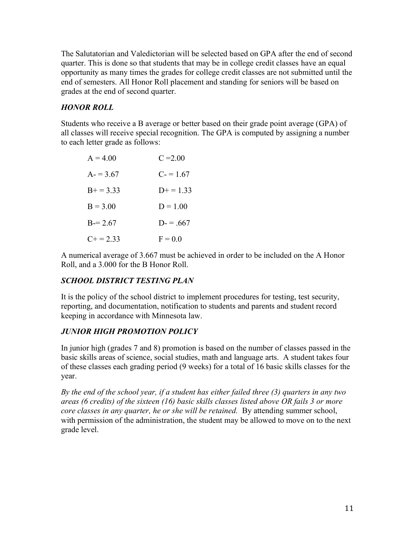The Salutatorian and Valedictorian will be selected based on GPA after the end of second quarter. This is done so that students that may be in college credit classes have an equal opportunity as many times the grades for college credit classes are not submitted until the end of semesters. All Honor Roll placement and standing for seniors will be based on grades at the end of second quarter.

#### *HONOR ROLL*

Students who receive a B average or better based on their grade point average (GPA) of all classes will receive special recognition. The GPA is computed by assigning a number to each letter grade as follows:

| $A = 4.00$     | $C = 2.00$ |
|----------------|------------|
| $A = 3.67$     | $C = 1.67$ |
| $B+=3.33$      | $D+=1.33$  |
| $B = 3.00$     | $D = 1.00$ |
| $B=2.67$       | $D = .667$ |
| $C_{+} = 2.33$ | $F = 0.0$  |

A numerical average of 3.667 must be achieved in order to be included on the A Honor Roll, and a 3.000 for the B Honor Roll.

#### *SCHOOL DISTRICT TESTING PLAN*

It is the policy of the school district to implement procedures for testing, test security, reporting, and documentation, notification to students and parents and student record keeping in accordance with Minnesota law.

#### *JUNIOR HIGH PROMOTION POLICY*

In junior high (grades 7 and 8) promotion is based on the number of classes passed in the basic skills areas of science, social studies, math and language arts. A student takes four of these classes each grading period (9 weeks) for a total of 16 basic skills classes for the year.

*By the end of the school year, if a student has either failed three (3) quarters in any two areas (6 credits) of the sixteen (16) basic skills classes listed above OR fails 3 or more core classes in any quarter, he or she will be retained.* By attending summer school, with permission of the administration, the student may be allowed to move on to the next grade level.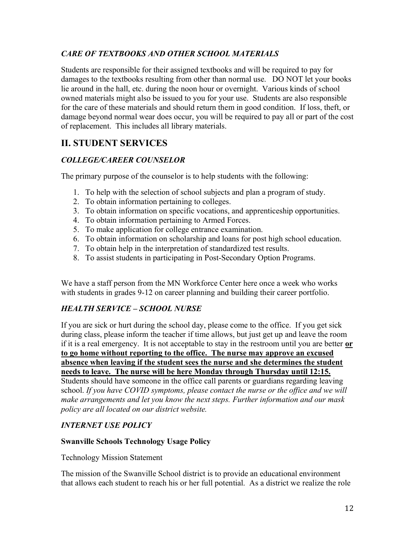#### *CARE OF TEXTBOOKS AND OTHER SCHOOL MATERIALS*

Students are responsible for their assigned textbooks and will be required to pay for damages to the textbooks resulting from other than normal use. DO NOT let your books lie around in the hall, etc. during the noon hour or overnight. Various kinds of school owned materials might also be issued to you for your use. Students are also responsible for the care of these materials and should return them in good condition. If loss, theft, or damage beyond normal wear does occur, you will be required to pay all or part of the cost of replacement. This includes all library materials.

#### **II. STUDENT SERVICES**

#### *COLLEGE/CAREER COUNSELOR*

The primary purpose of the counselor is to help students with the following:

- 1. To help with the selection of school subjects and plan a program of study.
- 2. To obtain information pertaining to colleges.
- 3. To obtain information on specific vocations, and apprenticeship opportunities.
- 4. To obtain information pertaining to Armed Forces.
- 5. To make application for college entrance examination.
- 6. To obtain information on scholarship and loans for post high school education.
- 7. To obtain help in the interpretation of standardized test results.
- 8. To assist students in participating in Post-Secondary Option Programs.

We have a staff person from the MN Workforce Center here once a week who works with students in grades 9-12 on career planning and building their career portfolio.

#### *HEALTH SERVICE – SCHOOL NURSE*

If you are sick or hurt during the school day, please come to the office. If you get sick during class, please inform the teacher if time allows, but just get up and leave the room if it is a real emergency. It is not acceptable to stay in the restroom until you are better **or to go home without reporting to the office. The nurse may approve an excused absence when leaving if the student sees the nurse and she determines the student needs to leave. The nurse will be here Monday through Thursday until 12:15.**  Students should have someone in the office call parents or guardians regarding leaving school. *If you have COVID symptoms, please contact the nurse or the office and we will make arrangements and let you know the next steps. Further information and our mask policy are all located on our district website.* 

#### *INTERNET USE POLICY*

#### **Swanville Schools Technology Usage Policy**

Technology Mission Statement

The mission of the Swanville School district is to provide an educational environment that allows each student to reach his or her full potential. As a district we realize the role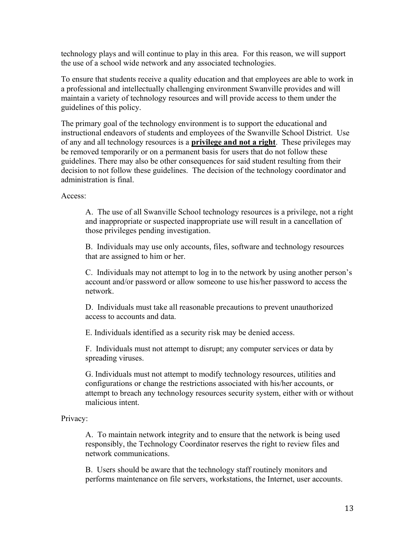technology plays and will continue to play in this area. For this reason, we will support the use of a school wide network and any associated technologies.

To ensure that students receive a quality education and that employees are able to work in a professional and intellectually challenging environment Swanville provides and will maintain a variety of technology resources and will provide access to them under the guidelines of this policy.

The primary goal of the technology environment is to support the educational and instructional endeavors of students and employees of the Swanville School District. Use of any and all technology resources is a **privilege and not a right**. These privileges may be removed temporarily or on a permanent basis for users that do not follow these guidelines. There may also be other consequences for said student resulting from their decision to not follow these guidelines. The decision of the technology coordinator and administration is final.

Access:

A. The use of all Swanville School technology resources is a privilege, not a right and inappropriate or suspected inappropriate use will result in a cancellation of those privileges pending investigation.

B. Individuals may use only accounts, files, software and technology resources that are assigned to him or her.

C. Individuals may not attempt to log in to the network by using another person's account and/or password or allow someone to use his/her password to access the network.

D. Individuals must take all reasonable precautions to prevent unauthorized access to accounts and data.

E. Individuals identified as a security risk may be denied access.

F. Individuals must not attempt to disrupt; any computer services or data by spreading viruses.

G. Individuals must not attempt to modify technology resources, utilities and configurations or change the restrictions associated with his/her accounts, or attempt to breach any technology resources security system, either with or without malicious intent.

#### Privacy:

A. To maintain network integrity and to ensure that the network is being used responsibly, the Technology Coordinator reserves the right to review files and network communications.

B. Users should be aware that the technology staff routinely monitors and performs maintenance on file servers, workstations, the Internet, user accounts.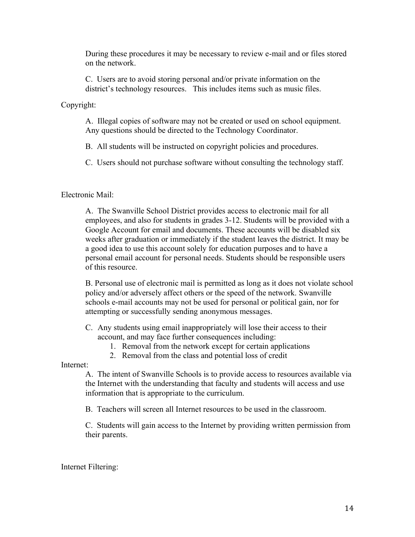During these procedures it may be necessary to review e-mail and or files stored on the network.

C. Users are to avoid storing personal and/or private information on the district's technology resources. This includes items such as music files.

Copyright:

A. Illegal copies of software may not be created or used on school equipment. Any questions should be directed to the Technology Coordinator.

B. All students will be instructed on copyright policies and procedures.

C. Users should not purchase software without consulting the technology staff.

Electronic Mail:

A. The Swanville School District provides access to electronic mail for all employees, and also for students in grades 3-12. Students will be provided with a Google Account for email and documents. These accounts will be disabled six weeks after graduation or immediately if the student leaves the district. It may be a good idea to use this account solely for education purposes and to have a personal email account for personal needs. Students should be responsible users of this resource.

B. Personal use of electronic mail is permitted as long as it does not violate school policy and/or adversely affect others or the speed of the network. Swanville schools e-mail accounts may not be used for personal or political gain, nor for attempting or successfully sending anonymous messages.

C. Any students using email inappropriately will lose their access to their account, and may face further consequences including:

- 1. Removal from the network except for certain applications
- 2. Removal from the class and potential loss of credit

Internet:

A. The intent of Swanville Schools is to provide access to resources available via the Internet with the understanding that faculty and students will access and use information that is appropriate to the curriculum.

B. Teachers will screen all Internet resources to be used in the classroom.

C. Students will gain access to the Internet by providing written permission from their parents.

Internet Filtering: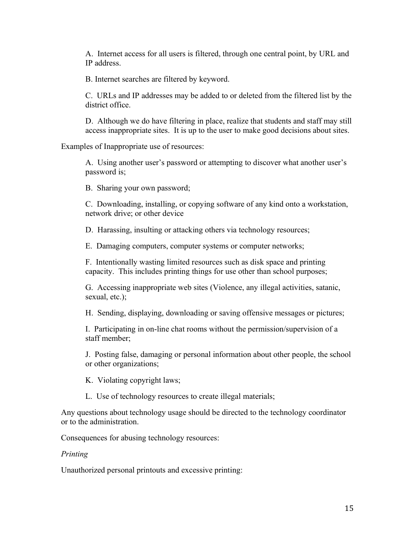A. Internet access for all users is filtered, through one central point, by URL and IP address.

B. Internet searches are filtered by keyword.

C. URLs and IP addresses may be added to or deleted from the filtered list by the district office.

D. Although we do have filtering in place, realize that students and staff may still access inappropriate sites. It is up to the user to make good decisions about sites.

Examples of Inappropriate use of resources:

A. Using another user's password or attempting to discover what another user's password is;

B. Sharing your own password;

C. Downloading, installing, or copying software of any kind onto a workstation, network drive; or other device

D. Harassing, insulting or attacking others via technology resources;

E. Damaging computers, computer systems or computer networks;

F. Intentionally wasting limited resources such as disk space and printing capacity. This includes printing things for use other than school purposes;

G. Accessing inappropriate web sites (Violence, any illegal activities, satanic, sexual, etc.);

H. Sending, displaying, downloading or saving offensive messages or pictures;

I. Participating in on-line chat rooms without the permission/supervision of a staff member;

J. Posting false, damaging or personal information about other people, the school or other organizations;

K. Violating copyright laws;

L. Use of technology resources to create illegal materials;

Any questions about technology usage should be directed to the technology coordinator or to the administration.

Consequences for abusing technology resources:

#### *Printing*

Unauthorized personal printouts and excessive printing: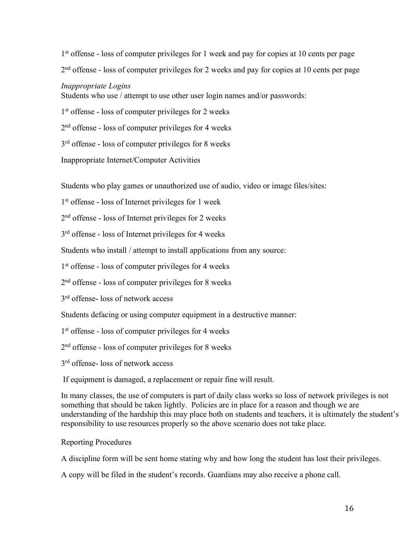1<sup>st</sup> offense - loss of computer privileges for 1 week and pay for copies at 10 cents per page 2<sup>nd</sup> offense - loss of computer privileges for 2 weeks and pay for copies at 10 cents per page *Inappropriate Logins* Students who use / attempt to use other user login names and/or passwords:

1 st offense - loss of computer privileges for 2 weeks

2<sup>nd</sup> offense - loss of computer privileges for 4 weeks

3<sup>rd</sup> offense - loss of computer privileges for 8 weeks

Inappropriate Internet/Computer Activities

Students who play games or unauthorized use of audio, video or image files/sites:

1 st offense - loss of Internet privileges for 1 week

2<sup>nd</sup> offense - loss of Internet privileges for 2 weeks

3<sup>rd</sup> offense - loss of Internet privileges for 4 weeks

Students who install / attempt to install applications from any source:

1 st offense - loss of computer privileges for 4 weeks

2<sup>nd</sup> offense - loss of computer privileges for 8 weeks

3 rd offense- loss of network access

Students defacing or using computer equipment in a destructive manner:

1 st offense - loss of computer privileges for 4 weeks

2<sup>nd</sup> offense - loss of computer privileges for 8 weeks

3<sup>rd</sup> offense- loss of network access

If equipment is damaged, a replacement or repair fine will result.

In many classes, the use of computers is part of daily class works so loss of network privileges is not something that should be taken lightly. Policies are in place for a reason and though we are understanding of the hardship this may place both on students and teachers, it is ultimately the student's responsibility to use resources properly so the above scenario does not take place.

#### Reporting Procedures

A discipline form will be sent home stating why and how long the student has lost their privileges.

A copy will be filed in the student's records. Guardians may also receive a phone call.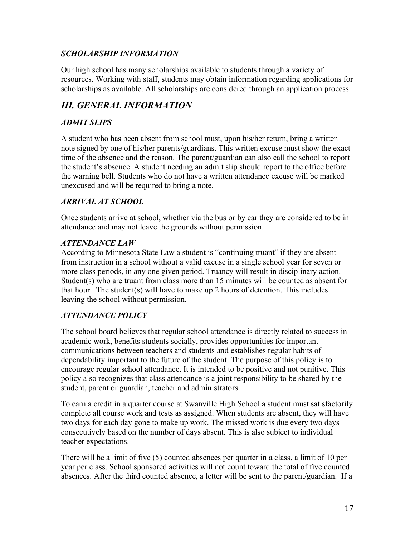#### *SCHOLARSHIP INFORMATION*

Our high school has many scholarships available to students through a variety of resources. Working with staff, students may obtain information regarding applications for scholarships as available. All scholarships are considered through an application process.

#### *III. GENERAL INFORMATION*

#### *ADMIT SLIPS*

A student who has been absent from school must, upon his/her return, bring a written note signed by one of his/her parents/guardians. This written excuse must show the exact time of the absence and the reason. The parent/guardian can also call the school to report the student's absence. A student needing an admit slip should report to the office before the warning bell. Students who do not have a written attendance excuse will be marked unexcused and will be required to bring a note.

#### *ARRIVAL AT SCHOOL*

Once students arrive at school, whether via the bus or by car they are considered to be in attendance and may not leave the grounds without permission.

#### *ATTENDANCE LAW*

According to Minnesota State Law a student is "continuing truant" if they are absent from instruction in a school without a valid excuse in a single school year for seven or more class periods, in any one given period. Truancy will result in disciplinary action. Student(s) who are truant from class more than 15 minutes will be counted as absent for that hour. The student(s) will have to make up 2 hours of detention. This includes leaving the school without permission*.* 

#### *ATTENDANCE POLICY*

The school board believes that regular school attendance is directly related to success in academic work, benefits students socially, provides opportunities for important communications between teachers and students and establishes regular habits of dependability important to the future of the student. The purpose of this policy is to encourage regular school attendance. It is intended to be positive and not punitive. This policy also recognizes that class attendance is a joint responsibility to be shared by the student, parent or guardian, teacher and administrators.

To earn a credit in a quarter course at Swanville High School a student must satisfactorily complete all course work and tests as assigned. When students are absent, they will have two days for each day gone to make up work. The missed work is due every two days consecutively based on the number of days absent. This is also subject to individual teacher expectations.

There will be a limit of five (5) counted absences per quarter in a class, a limit of 10 per year per class. School sponsored activities will not count toward the total of five counted absences. After the third counted absence, a letter will be sent to the parent/guardian. If a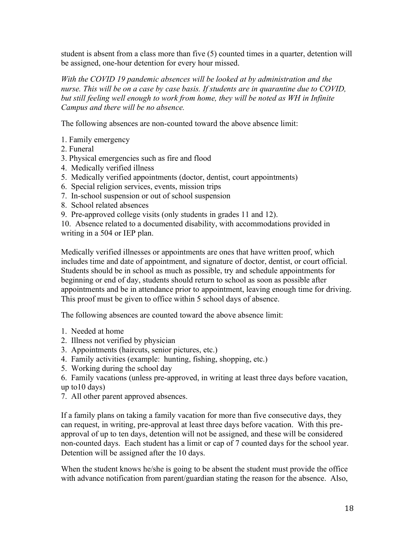student is absent from a class more than five (5) counted times in a quarter, detention will be assigned, one-hour detention for every hour missed.

*With the COVID 19 pandemic absences will be looked at by administration and the nurse. This will be on a case by case basis. If students are in quarantine due to COVID, but still feeling well enough to work from home, they will be noted as WH in Infinite Campus and there will be no absence.* 

The following absences are non-counted toward the above absence limit:

- 1. Family emergency
- 2. Funeral
- 3. Physical emergencies such as fire and flood
- 4. Medically verified illness
- 5. Medically verified appointments (doctor, dentist, court appointments)
- 6. Special religion services, events, mission trips
- 7. In-school suspension or out of school suspension
- 8. School related absences
- 9. Pre-approved college visits (only students in grades 11 and 12).

10. Absence related to a documented disability, with accommodations provided in writing in a 504 or IEP plan.

Medically verified illnesses or appointments are ones that have written proof, which includes time and date of appointment, and signature of doctor, dentist, or court official. Students should be in school as much as possible, try and schedule appointments for beginning or end of day, students should return to school as soon as possible after appointments and be in attendance prior to appointment, leaving enough time for driving. This proof must be given to office within 5 school days of absence.

The following absences are counted toward the above absence limit:

- 1. Needed at home
- 2. Illness not verified by physician
- 3. Appointments (haircuts, senior pictures, etc.)
- 4. Family activities (example: hunting, fishing, shopping, etc.)
- 5. Working during the school day

6. Family vacations (unless pre-approved, in writing at least three days before vacation, up to10 days)

7. All other parent approved absences.

If a family plans on taking a family vacation for more than five consecutive days, they can request, in writing, pre-approval at least three days before vacation. With this preapproval of up to ten days, detention will not be assigned, and these will be considered non-counted days. Each student has a limit or cap of 7 counted days for the school year. Detention will be assigned after the 10 days.

When the student knows he/she is going to be absent the student must provide the office with advance notification from parent/guardian stating the reason for the absence. Also,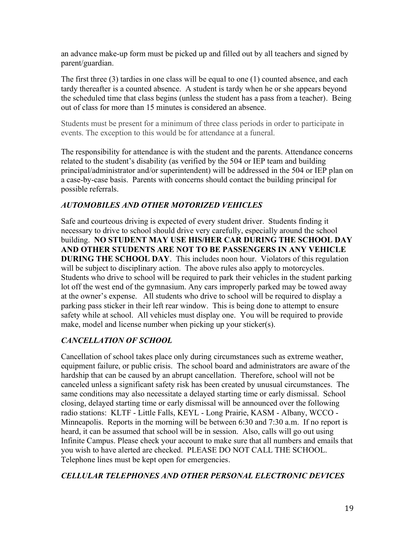an advance make-up form must be picked up and filled out by all teachers and signed by parent/guardian.

The first three (3) tardies in one class will be equal to one (1) counted absence, and each tardy thereafter is a counted absence. A student is tardy when he or she appears beyond the scheduled time that class begins (unless the student has a pass from a teacher). Being out of class for more than 15 minutes is considered an absence.

Students must be present for a minimum of three class periods in order to participate in events. The exception to this would be for attendance at a funeral.

The responsibility for attendance is with the student and the parents. Attendance concerns related to the student's disability (as verified by the 504 or IEP team and building principal/administrator and/or superintendent) will be addressed in the 504 or IEP plan on a case-by-case basis. Parents with concerns should contact the building principal for possible referrals.

#### *AUTOMOBILES AND OTHER MOTORIZED VEHICLES*

Safe and courteous driving is expected of every student driver. Students finding it necessary to drive to school should drive very carefully, especially around the school building. **NO STUDENT MAY USE HIS/HER CAR DURING THE SCHOOL DAY AND OTHER STUDENTS ARE NOT TO BE PASSENGERS IN ANY VEHICLE DURING THE SCHOOL DAY**. This includes noon hour. Violators of this regulation will be subject to disciplinary action. The above rules also apply to motorcycles. Students who drive to school will be required to park their vehicles in the student parking lot off the west end of the gymnasium. Any cars improperly parked may be towed away at the owner's expense. All students who drive to school will be required to display a parking pass sticker in their left rear window. This is being done to attempt to ensure safety while at school. All vehicles must display one. You will be required to provide make, model and license number when picking up your sticker(s).

#### *CANCELLATION OF SCHOOL*

Cancellation of school takes place only during circumstances such as extreme weather, equipment failure, or public crisis. The school board and administrators are aware of the hardship that can be caused by an abrupt cancellation. Therefore, school will not be canceled unless a significant safety risk has been created by unusual circumstances. The same conditions may also necessitate a delayed starting time or early dismissal. School closing, delayed starting time or early dismissal will be announced over the following radio stations: KLTF - Little Falls, KEYL - Long Prairie, KASM - Albany, WCCO - Minneapolis. Reports in the morning will be between 6:30 and 7:30 a.m. If no report is heard, it can be assumed that school will be in session. Also, calls will go out using Infinite Campus. Please check your account to make sure that all numbers and emails that you wish to have alerted are checked. PLEASE DO NOT CALL THE SCHOOL. Telephone lines must be kept open for emergencies.

#### *CELLULAR TELEPHONES AND OTHER PERSONAL ELECTRONIC DEVICES*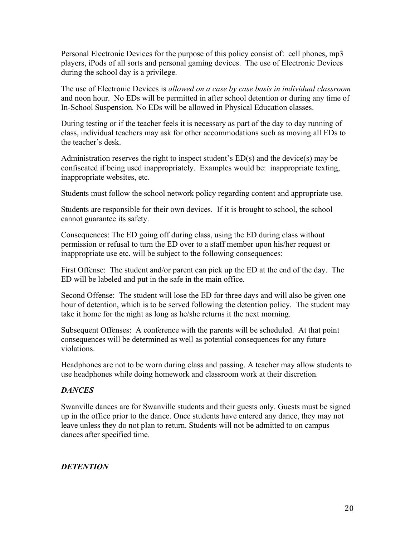Personal Electronic Devices for the purpose of this policy consist of: cell phones, mp3 players, iPods of all sorts and personal gaming devices. The use of Electronic Devices during the school day is a privilege.

The use of Electronic Devices is *allowed on a case by case basis in individual classroom* and noon hour. No EDs will be permitted in after school detention or during any time of In-School Suspension*.* No EDs will be allowed in Physical Education classes.

During testing or if the teacher feels it is necessary as part of the day to day running of class, individual teachers may ask for other accommodations such as moving all EDs to the teacher's desk.

Administration reserves the right to inspect student's ED(s) and the device(s) may be confiscated if being used inappropriately. Examples would be: inappropriate texting, inappropriate websites, etc.

Students must follow the school network policy regarding content and appropriate use.

Students are responsible for their own devices. If it is brought to school, the school cannot guarantee its safety.

Consequences: The ED going off during class, using the ED during class without permission or refusal to turn the ED over to a staff member upon his/her request or inappropriate use etc. will be subject to the following consequences:

First Offense: The student and/or parent can pick up the ED at the end of the day. The ED will be labeled and put in the safe in the main office.

Second Offense: The student will lose the ED for three days and will also be given one hour of detention, which is to be served following the detention policy. The student may take it home for the night as long as he/she returns it the next morning.

Subsequent Offenses: A conference with the parents will be scheduled. At that point consequences will be determined as well as potential consequences for any future violations.

Headphones are not to be worn during class and passing. A teacher may allow students to use headphones while doing homework and classroom work at their discretion.

#### *DANCES*

Swanville dances are for Swanville students and their guests only. Guests must be signed up in the office prior to the dance. Once students have entered any dance, they may not leave unless they do not plan to return. Students will not be admitted to on campus dances after specified time.

#### *DETENTION*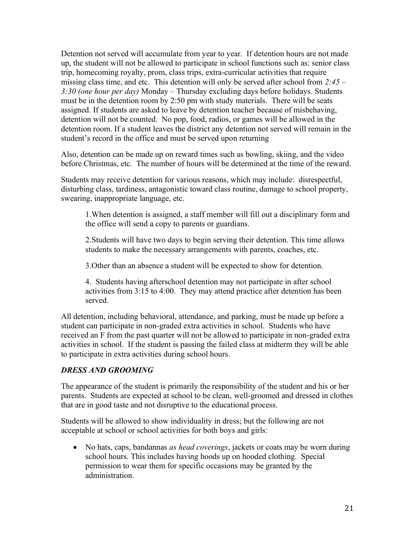Detention not served will accumulate from year to year. If detention hours are not made up, the student will not be allowed to participate in school functions such as: senior class trip, homecoming royalty, prom, class trips, extra-curricular activities that require missing class time, and etc. This detention will only be served after school from *2:45 – 3:30 (one hour per day)* Monday – Thursday excluding days before holidays. Students must be in the detention room by 2:50 pm with study materials. There will be seats assigned. If students are asked to leave by detention teacher because of misbehaving, detention will not be counted. No pop, food, radios, or games will be allowed in the detention room. If a student leaves the district any detention not served will remain in the student's record in the office and must be served upon returning

Also, detention can be made up on reward times such as bowling, skiing, and the video before Christmas, etc. The number of hours will be determined at the time of the reward.

Students may receive detention for various reasons, which may include: disrespectful, disturbing class, tardiness, antagonistic toward class routine, damage to school property, swearing, inappropriate language, etc.

1.When detention is assigned, a staff member will fill out a disciplinary form and the office will send a copy to parents or guardians.

2.Students will have two days to begin serving their detention. This time allows students to make the necessary arrangements with parents, coaches, etc.

3.Other than an absence a student will be expected to show for detention.

4. Students having afterschool detention may not participate in after school activities from 3:15 to 4:00. They may attend practice after detention has been served.

All detention, including behavioral, attendance, and parking, must be made up before a student can participate in non-graded extra activities in school. Students who have received an F from the past quarter will not be allowed to participate in non-graded extra activities in school. If the student is passing the failed class at midterm they will be able to participate in extra activities during school hours.

#### *DRESS AND GROOMING*

The appearance of the student is primarily the responsibility of the student and his or her parents. Students are expected at school to be clean, well-groomed and dressed in clothes that are in good taste and not disruptive to the educational process.

Students will be allowed to show individuality in dress; but the following are not acceptable at school or school activities for both boys and girls:

• No hats, caps, bandannas *as head coverings*, jackets or coats may be worn during school hours. This includes having hoods up on hooded clothing. Special permission to wear them for specific occasions may be granted by the administration.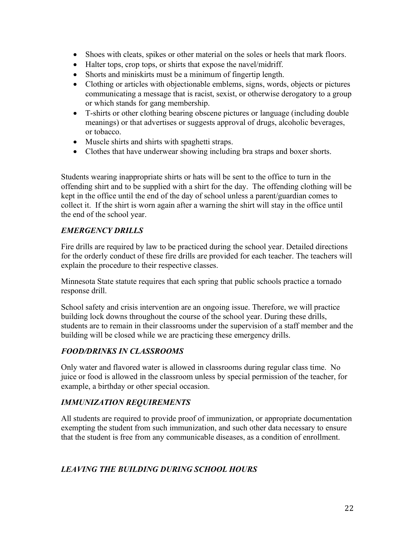- Shoes with cleats, spikes or other material on the soles or heels that mark floors.
- Halter tops, crop tops, or shirts that expose the navel/midriff.
- Shorts and miniskirts must be a minimum of fingertip length.
- Clothing or articles with objectionable emblems, signs, words, objects or pictures communicating a message that is racist, sexist, or otherwise derogatory to a group or which stands for gang membership.
- T-shirts or other clothing bearing obscene pictures or language (including double meanings) or that advertises or suggests approval of drugs, alcoholic beverages, or tobacco.
- Muscle shirts and shirts with spaghetti straps.
- Clothes that have underwear showing including bra straps and boxer shorts.

Students wearing inappropriate shirts or hats will be sent to the office to turn in the offending shirt and to be supplied with a shirt for the day. The offending clothing will be kept in the office until the end of the day of school unless a parent/guardian comes to collect it. If the shirt is worn again after a warning the shirt will stay in the office until the end of the school year.

#### *EMERGENCY DRILLS*

Fire drills are required by law to be practiced during the school year. Detailed directions for the orderly conduct of these fire drills are provided for each teacher. The teachers will explain the procedure to their respective classes.

Minnesota State statute requires that each spring that public schools practice a tornado response drill.

School safety and crisis intervention are an ongoing issue. Therefore, we will practice building lock downs throughout the course of the school year. During these drills, students are to remain in their classrooms under the supervision of a staff member and the building will be closed while we are practicing these emergency drills.

#### *FOOD/DRINKS IN CLASSROOMS*

Only water and flavored water is allowed in classrooms during regular class time. No juice or food is allowed in the classroom unless by special permission of the teacher, for example, a birthday or other special occasion.

#### *IMMUNIZATION REQUIREMENTS*

All students are required to provide proof of immunization, or appropriate documentation exempting the student from such immunization, and such other data necessary to ensure that the student is free from any communicable diseases, as a condition of enrollment.

#### *LEAVING THE BUILDING DURING SCHOOL HOURS*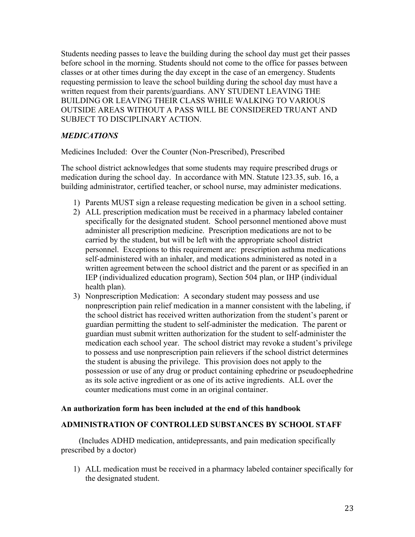Students needing passes to leave the building during the school day must get their passes before school in the morning. Students should not come to the office for passes between classes or at other times during the day except in the case of an emergency. Students requesting permission to leave the school building during the school day must have a written request from their parents/guardians. ANY STUDENT LEAVING THE BUILDING OR LEAVING THEIR CLASS WHILE WALKING TO VARIOUS OUTSIDE AREAS WITHOUT A PASS WILL BE CONSIDERED TRUANT AND SUBJECT TO DISCIPLINARY ACTION.

#### *MEDICATIONS*

Medicines Included: Over the Counter (Non-Prescribed), Prescribed

The school district acknowledges that some students may require prescribed drugs or medication during the school day. In accordance with MN. Statute 123.35, sub. 16, a building administrator, certified teacher, or school nurse, may administer medications.

- 1) Parents MUST sign a release requesting medication be given in a school setting.
- 2) ALL prescription medication must be received in a pharmacy labeled container specifically for the designated student. School personnel mentioned above must administer all prescription medicine. Prescription medications are not to be carried by the student, but will be left with the appropriate school district personnel. Exceptions to this requirement are: prescription asthma medications self-administered with an inhaler, and medications administered as noted in a written agreement between the school district and the parent or as specified in an IEP (individualized education program), Section 504 plan, or IHP (individual health plan).
- 3) Nonprescription Medication: A secondary student may possess and use nonprescription pain relief medication in a manner consistent with the labeling, if the school district has received written authorization from the student's parent or guardian permitting the student to self-administer the medication. The parent or guardian must submit written authorization for the student to self-administer the medication each school year. The school district may revoke a student's privilege to possess and use nonprescription pain relievers if the school district determines the student is abusing the privilege. This provision does not apply to the possession or use of any drug or product containing ephedrine or pseudoephedrine as its sole active ingredient or as one of its active ingredients. ALL over the counter medications must come in an original container.

#### **An authorization form has been included at the end of this handbook**

#### **ADMINISTRATION OF CONTROLLED SUBSTANCES BY SCHOOL STAFF**

(Includes ADHD medication, antidepressants, and pain medication specifically prescribed by a doctor)

1) ALL medication must be received in a pharmacy labeled container specifically for the designated student.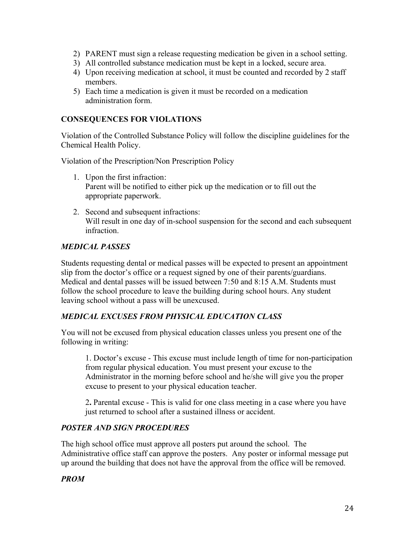- 2) PARENT must sign a release requesting medication be given in a school setting.
- 3) All controlled substance medication must be kept in a locked, secure area.
- 4) Upon receiving medication at school, it must be counted and recorded by 2 staff members.
- 5) Each time a medication is given it must be recorded on a medication administration form.

#### **CONSEQUENCES FOR VIOLATIONS**

Violation of the Controlled Substance Policy will follow the discipline guidelines for the Chemical Health Policy.

Violation of the Prescription/Non Prescription Policy

- 1. Upon the first infraction: Parent will be notified to either pick up the medication or to fill out the appropriate paperwork.
- 2. Second and subsequent infractions: Will result in one day of in-school suspension for the second and each subsequent infraction.

#### *MEDICAL PASSES*

Students requesting dental or medical passes will be expected to present an appointment slip from the doctor's office or a request signed by one of their parents/guardians. Medical and dental passes will be issued between 7:50 and 8:15 A.M. Students must follow the school procedure to leave the building during school hours. Any student leaving school without a pass will be unexcused.

#### *MEDICAL EXCUSES FROM PHYSICAL EDUCATION CLASS*

You will not be excused from physical education classes unless you present one of the following in writing:

1. Doctor's excuse - This excuse must include length of time for non-participation from regular physical education. You must present your excuse to the Administrator in the morning before school and he/she will give you the proper excuse to present to your physical education teacher.

2**.** Parental excuse - This is valid for one class meeting in a case where you have just returned to school after a sustained illness or accident.

#### *POSTER AND SIGN PROCEDURES*

The high school office must approve all posters put around the school. The Administrative office staff can approve the posters. Any poster or informal message put up around the building that does not have the approval from the office will be removed.

#### *PROM*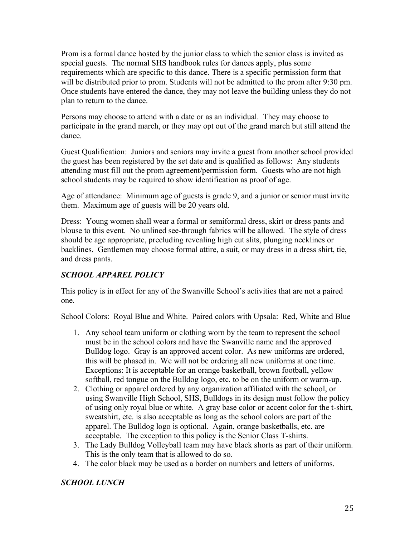Prom is a formal dance hosted by the junior class to which the senior class is invited as special guests. The normal SHS handbook rules for dances apply, plus some requirements which are specific to this dance. There is a specific permission form that will be distributed prior to prom. Students will not be admitted to the prom after 9:30 pm. Once students have entered the dance, they may not leave the building unless they do not plan to return to the dance.

Persons may choose to attend with a date or as an individual. They may choose to participate in the grand march, or they may opt out of the grand march but still attend the dance.

Guest Qualification: Juniors and seniors may invite a guest from another school provided the guest has been registered by the set date and is qualified as follows: Any students attending must fill out the prom agreement/permission form. Guests who are not high school students may be required to show identification as proof of age.

Age of attendance: Minimum age of guests is grade 9, and a junior or senior must invite them. Maximum age of guests will be 20 years old.

Dress: Young women shall wear a formal or semiformal dress, skirt or dress pants and blouse to this event. No unlined see-through fabrics will be allowed. The style of dress should be age appropriate, precluding revealing high cut slits, plunging necklines or backlines. Gentlemen may choose formal attire, a suit, or may dress in a dress shirt, tie, and dress pants.

#### *SCHOOL APPAREL POLICY*

This policy is in effect for any of the Swanville School's activities that are not a paired one.

School Colors: Royal Blue and White. Paired colors with Upsala: Red, White and Blue

- 1. Any school team uniform or clothing worn by the team to represent the school must be in the school colors and have the Swanville name and the approved Bulldog logo. Gray is an approved accent color. As new uniforms are ordered, this will be phased in. We will not be ordering all new uniforms at one time. Exceptions: It is acceptable for an orange basketball, brown football, yellow softball, red tongue on the Bulldog logo, etc. to be on the uniform or warm-up.
- 2. Clothing or apparel ordered by any organization affiliated with the school, or using Swanville High School, SHS, Bulldogs in its design must follow the policy of using only royal blue or white. A gray base color or accent color for the t-shirt, sweatshirt, etc. is also acceptable as long as the school colors are part of the apparel. The Bulldog logo is optional. Again, orange basketballs, etc. are acceptable. The exception to this policy is the Senior Class T-shirts.
- 3. The Lady Bulldog Volleyball team may have black shorts as part of their uniform. This is the only team that is allowed to do so.
- 4. The color black may be used as a border on numbers and letters of uniforms.

#### *SCHOOL LUNCH*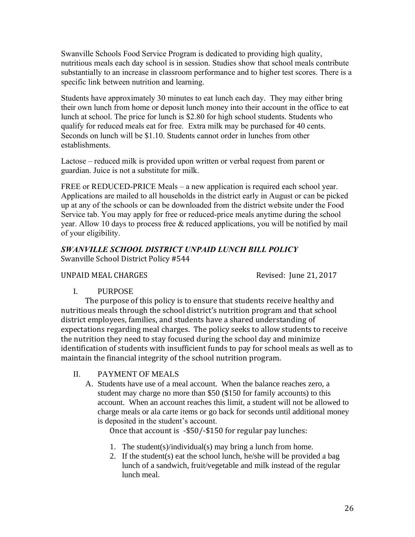Swanville Schools Food Service Program is dedicated to providing high quality, nutritious meals each day school is in session. Studies show that school meals contribute substantially to an increase in classroom performance and to higher test scores. There is a specific link between nutrition and learning.

Students have approximately 30 minutes to eat lunch each day. They may either bring their own lunch from home or deposit lunch money into their account in the office to eat lunch at school. The price for lunch is \$2.80 for high school students. Students who qualify for reduced meals eat for free. Extra milk may be purchased for 40 cents. Seconds on lunch will be \$1.10. Students cannot order in lunches from other establishments.

Lactose – reduced milk is provided upon written or verbal request from parent or guardian. Juice is not a substitute for milk.

FREE or REDUCED-PRICE Meals – a new application is required each school year. Applications are mailed to all households in the district early in August or can be picked up at any of the schools or can be downloaded from the district website under the Food Service tab. You may apply for free or reduced-price meals anytime during the school year. Allow 10 days to process free  $\&$  reduced applications, you will be notified by mail of your eligibility.

#### *SWANVILLE SCHOOL DISTRICT UNPAID LUNCH BILL POLICY* Swanville School District Policy #544

#### UNPAID MEAL CHARGES **Revised:** June 21, 2017

I. PURPOSE

The purpose of this policy is to ensure that students receive healthy and nutritious meals through the school district's nutrition program and that school district employees, families, and students have a shared understanding of expectations regarding meal charges. The policy seeks to allow students to receive the nutrition they need to stay focused during the school day and minimize identification of students with insufficient funds to pay for school meals as well as to maintain the financial integrity of the school nutrition program.

II. PAYMENT OF MEALS

A. Students have use of a meal account. When the balance reaches zero, a student may charge no more than \$50 (\$150 for family accounts) to this account. When an account reaches this limit, a student will not be allowed to charge meals or ala carte items or go back for seconds until additional money is deposited in the student's account.

Once that account is -\$50/-\$150 for regular pay lunches:

- 1. The student(s)/individual(s) may bring a lunch from home.
- 2. If the student(s) eat the school lunch, he/she will be provided a bag lunch of a sandwich, fruit/vegetable and milk instead of the regular lunch meal.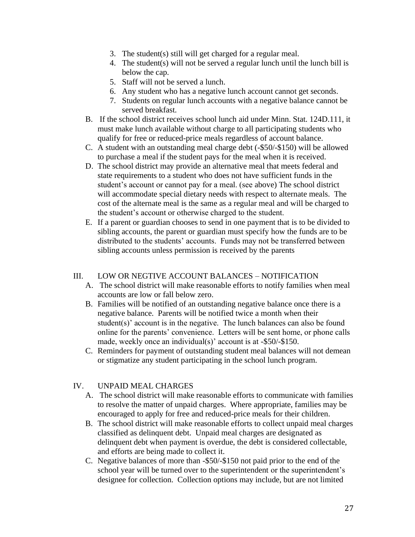- 3. The student(s) still will get charged for a regular meal.
- 4. The student(s) will not be served a regular lunch until the lunch bill is below the cap.
- 5. Staff will not be served a lunch.
- 6. Any student who has a negative lunch account cannot get seconds.
- 7. Students on regular lunch accounts with a negative balance cannot be served breakfast.
- B. If the school district receives school lunch aid under Minn. Stat. 124D.111, it must make lunch available without charge to all participating students who qualify for free or reduced-price meals regardless of account balance.
- C. A student with an outstanding meal charge debt (-\$50/-\$150) will be allowed to purchase a meal if the student pays for the meal when it is received.
- D. The school district may provide an alternative meal that meets federal and state requirements to a student who does not have sufficient funds in the student's account or cannot pay for a meal. (see above) The school district will accommodate special dietary needs with respect to alternate meals. The cost of the alternate meal is the same as a regular meal and will be charged to the student's account or otherwise charged to the student.
- E. If a parent or guardian chooses to send in one payment that is to be divided to sibling accounts, the parent or guardian must specify how the funds are to be distributed to the students' accounts. Funds may not be transferred between sibling accounts unless permission is received by the parents

#### III. LOW OR NEGTIVE ACCOUNT BALANCES – NOTIFICATION

- A. The school district will make reasonable efforts to notify families when meal accounts are low or fall below zero.
- B. Families will be notified of an outstanding negative balance once there is a negative balance. Parents will be notified twice a month when their student(s)' account is in the negative. The lunch balances can also be found online for the parents' convenience. Letters will be sent home, or phone calls made, weekly once an individual(s)' account is at -\$50/-\$150.
- C. Reminders for payment of outstanding student meal balances will not demean or stigmatize any student participating in the school lunch program.

#### IV. UNPAID MEAL CHARGES

- A. The school district will make reasonable efforts to communicate with families to resolve the matter of unpaid charges. Where appropriate, families may be encouraged to apply for free and reduced-price meals for their children.
- B. The school district will make reasonable efforts to collect unpaid meal charges classified as delinquent debt. Unpaid meal charges are designated as delinquent debt when payment is overdue, the debt is considered collectable, and efforts are being made to collect it.
- C. Negative balances of more than -\$50/-\$150 not paid prior to the end of the school year will be turned over to the superintendent or the superintendent's designee for collection. Collection options may include, but are not limited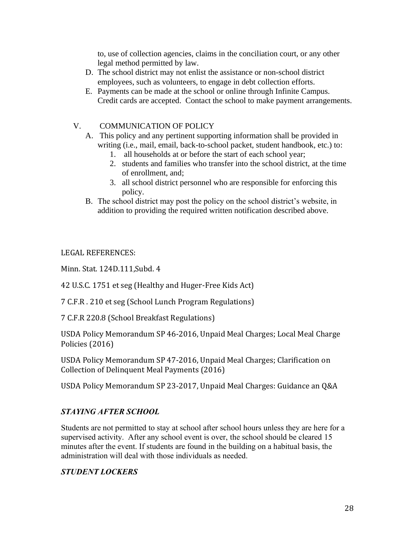to, use of collection agencies, claims in the conciliation court, or any other legal method permitted by law.

- D. The school district may not enlist the assistance or non-school district employees, such as volunteers, to engage in debt collection efforts.
- E. Payments can be made at the school or online through Infinite Campus. Credit cards are accepted. Contact the school to make payment arrangements.

#### V. COMMUNICATION OF POLICY

- A. This policy and any pertinent supporting information shall be provided in writing (i.e., mail, email, back-to-school packet, student handbook, etc.) to:
	- 1. all households at or before the start of each school year;
	- 2. students and families who transfer into the school district, at the time of enrollment, and;
	- 3. all school district personnel who are responsible for enforcing this policy.
- B. The school district may post the policy on the school district's website, in addition to providing the required written notification described above.

LEGAL REFERENCES:

Minn. Stat. 124D.111,Subd. 4

42 U.S.C. 1751 et seg (Healthy and Huger-Free Kids Act)

7 C.F.R . 210 et seg (School Lunch Program Regulations)

7 C.F.R 220.8 (School Breakfast Regulations)

USDA Policy Memorandum SP 46-2016, Unpaid Meal Charges; Local Meal Charge Policies (2016)

USDA Policy Memorandum SP 47-2016, Unpaid Meal Charges; Clarification on Collection of Delinquent Meal Payments (2016)

USDA Policy Memorandum SP 23-2017, Unpaid Meal Charges: Guidance an Q&A

#### *STAYING AFTER SCHOOL*

Students are not permitted to stay at school after school hours unless they are here for a supervised activity. After any school event is over, the school should be cleared 15 minutes after the event. If students are found in the building on a habitual basis, the administration will deal with those individuals as needed.

#### *STUDENT LOCKERS*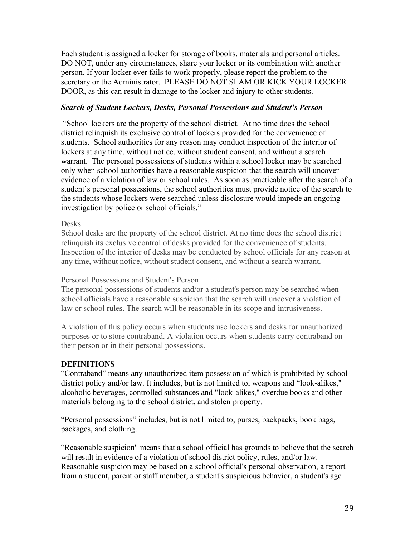Each student is assigned a locker for storage of books, materials and personal articles. DO NOT, under any circumstances, share your locker or its combination with another person. If your locker ever fails to work properly, please report the problem to the secretary or the Administrator. PLEASE DO NOT SLAM OR KICK YOUR LOCKER DOOR, as this can result in damage to the locker and injury to other students.

#### *Search of Student Lockers, Desks, Personal Possessions and Student's Person*

"School lockers are the property of the school district. At no time does the school district relinquish its exclusive control of lockers provided for the convenience of students. School authorities for any reason may conduct inspection of the interior of lockers at any time, without notice, without student consent, and without a search warrant. The personal possessions of students within a school locker may be searched only when school authorities have a reasonable suspicion that the search will uncover evidence of a violation of law or school rules. As soon as practicable after the search of a student's personal possessions, the school authorities must provide notice of the search to the students whose lockers were searched unless disclosure would impede an ongoing investigation by police or school officials."

#### Desks

School desks are the property of the school district. At no time does the school district relinquish its exclusive control of desks provided for the convenience of students. Inspection of the interior of desks may be conducted by school officials for any reason at any time, without notice, without student consent, and without a search warrant.

#### Personal Possessions and Student's Person

The personal possessions of students and/or a student's person may be searched when school officials have a reasonable suspicion that the search will uncover a violation of law or school rules. The search will be reasonable in its scope and intrusiveness.

A violation of this policy occurs when students use lockers and desks for unauthorized purposes or to store contraband. A violation occurs when students carry contraband on their person or in their personal possessions.

#### **DEFINITIONS**

"Contraband" means any unauthorized item possession of which is prohibited by school district policy and/or law. It includes, but is not limited to, weapons and "look-alikes," alcoholic beverages, controlled substances and "look-alikes," overdue books and other materials belonging to the school district, and stolen property.

"Personal possessions" includes, but is not limited to, purses, backpacks, book bags, packages, and clothing.

"Reasonable suspicion" means that a school official has grounds to believe that the search will result in evidence of a violation of school district policy, rules, and/or law. Reasonable suspicion may be based on a school official's personal observation, a report from a student, parent or staff member, a student's suspicious behavior, a student's age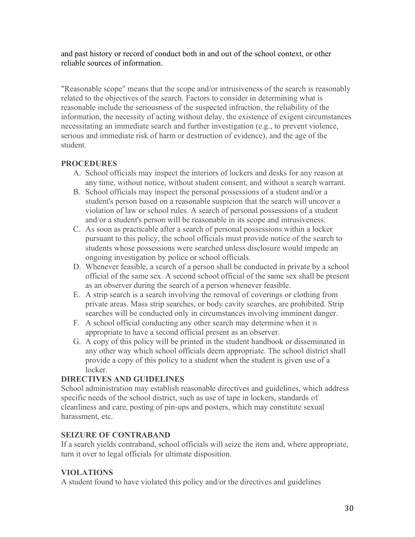and past history or record of conduct both in and out of the school context, or other reliable sources of information.

"Reasonable scope" means that the scope and/or intrusiveness of the search is reasonably related to the objectives of the search. Factors to consider in determining what is reasonable include the seriousness of the suspected infraction, the reliability of the information, the necessity of acting without delay, the existence of exigent circumstances necessitating an immediate search and further investigation (e.g., to prevent violence, serious and immediate risk of harm or destruction of evidence), and the age of the student.

#### **PROCEDURES**

- A. School officials may inspect the interiors of lockers and desks for any reason at any time, without notice, without student consent, and without a search warrant.
- B. School officials may inspect the personal possessions of a student and/or a student's person based on a reasonable suspicion that the search will uncover a violation of law or school rules. A search of personal possessions of a student and/or a student's person will be reasonable in its scope and intrusiveness.
- C. As soon as practicable after a search of personal possessions within a locker pursuant to this policy, the school officials must provide notice of the search to students whose possessions were searched unless disclosure would impede an ongoing investigation by police or school officials.
- D. Whenever feasible, a search of a person shall be conducted in private by a school official of the same sex. A second school official of the same sex shall be present as an observer during the search of a person whenever feasible.
- E. A strip search is a search involving the removal of coverings or clothing from private areas. Mass strip searches, or body cavity searches, are prohibited. Strip searches will be conducted only in circumstances involving imminent danger.
- F. A school official conducting any other search may determine when it IS appropriate to have a second official present as an observer.
- G. A copy of this policy will be printed in the student handbook or disseminated in any other way which school officials deem appropriate. The school district shall provide a copy of this policy to a student when the student is given use of a locker.

#### **DIRECTIVES AND GUIDELINES**

School administration may establish reasonable directives and guidelines, which address specific needs of the school district, such as use of tape in lockers, standards of cleanliness and care, posting of pin-ups and posters, which may constitute sexual harassment, etc.

#### **SEIZURE OF CONTRABAND**

If a search yields contraband, school officials will seize the item and, where appropriate, turn it over to legal officials for ultimate disposition.

#### **VIOLATIONS**

A student found to have violated this policy and/or the directives and guidelines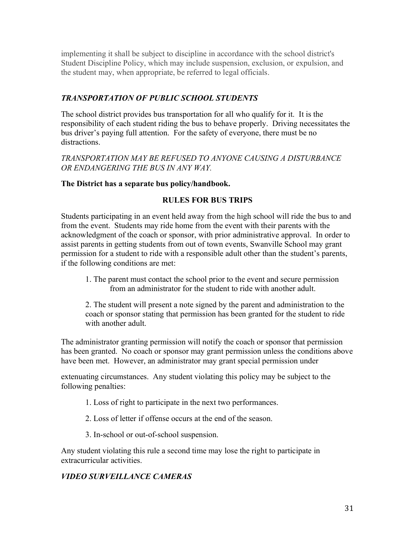implementing it shall be subject to discipline in accordance with the school district's Student Discipline Policy, which may include suspension, exclusion, or expulsion, and the student may, when appropriate, be referred to legal officials.

#### *TRANSPORTATION OF PUBLIC SCHOOL STUDENTS*

The school district provides bus transportation for all who qualify for it. It is the responsibility of each student riding the bus to behave properly. Driving necessitates the bus driver's paying full attention. For the safety of everyone, there must be no distractions.

#### *TRANSPORTATION MAY BE REFUSED TO ANYONE CAUSING A DISTURBANCE OR ENDANGERING THE BUS IN ANY WAY.*

#### **The District has a separate bus policy/handbook.**

#### **RULES FOR BUS TRIPS**

Students participating in an event held away from the high school will ride the bus to and from the event. Students may ride home from the event with their parents with the acknowledgment of the coach or sponsor, with prior administrative approval. In order to assist parents in getting students from out of town events, Swanville School may grant permission for a student to ride with a responsible adult other than the student's parents, if the following conditions are met:

1. The parent must contact the school prior to the event and secure permission from an administrator for the student to ride with another adult.

2. The student will present a note signed by the parent and administration to the coach or sponsor stating that permission has been granted for the student to ride with another adult.

The administrator granting permission will notify the coach or sponsor that permission has been granted. No coach or sponsor may grant permission unless the conditions above have been met. However, an administrator may grant special permission under

extenuating circumstances. Any student violating this policy may be subject to the following penalties:

- 1. Loss of right to participate in the next two performances.
- 2. Loss of letter if offense occurs at the end of the season.
- 3. In-school or out-of-school suspension.

Any student violating this rule a second time may lose the right to participate in extracurricular activities.

#### *VIDEO SURVEILLANCE CAMERAS*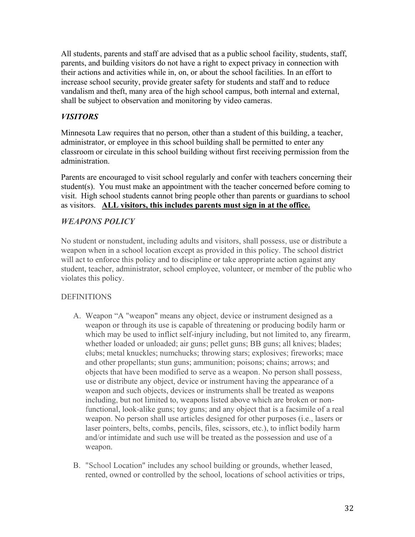All students, parents and staff are advised that as a public school facility, students, staff, parents, and building visitors do not have a right to expect privacy in connection with their actions and activities while in, on, or about the school facilities. In an effort to increase school security, provide greater safety for students and staff and to reduce vandalism and theft, many area of the high school campus, both internal and external, shall be subject to observation and monitoring by video cameras.

#### *VISITORS*

Minnesota Law requires that no person, other than a student of this building, a teacher, administrator, or employee in this school building shall be permitted to enter any classroom or circulate in this school building without first receiving permission from the administration.

Parents are encouraged to visit school regularly and confer with teachers concerning their student(s). You must make an appointment with the teacher concerned before coming to visit. High school students cannot bring people other than parents or guardians to school as visitors. **ALL visitors, this includes parents must sign in at the office.** 

#### *WEAPONS POLICY*

No student or nonstudent, including adults and visitors, shall possess, use or distribute a weapon when in a school location except as provided in this policy. The school district will act to enforce this policy and to discipline or take appropriate action against any student, teacher, administrator, school employee, volunteer, or member of the public who violates this policy.

#### **DEFINITIONS**

- A. Weapon "A "weapon" means any object, device or instrument designed as a weapon or through its use is capable of threatening or producing bodily harm or which may be used to inflict self-injury including, but not limited to, any firearm, whether loaded or unloaded; air guns; pellet guns; BB guns; all knives; blades; clubs; metal knuckles; numchucks; throwing stars; explosives; fireworks; mace and other propellants; stun guns; ammunition; poisons; chains; arrows; and objects that have been modified to serve as a weapon. No person shall possess, use or distribute any object, device or instrument having the appearance of a weapon and such objects, devices or instruments shall be treated as weapons including, but not limited to, weapons listed above which are broken or nonfunctional, look-alike guns; toy guns; and any object that is a facsimile of a real weapon. No person shall use articles designed for other purposes (i.e., lasers or laser pointers, belts, combs, pencils, files, scissors, etc.), to inflict bodily harm and/or intimidate and such use will be treated as the possession and use of a weapon.
- B. "School Location" includes any school building or grounds, whether leased, rented, owned or controlled by the school, locations of school activities or trips,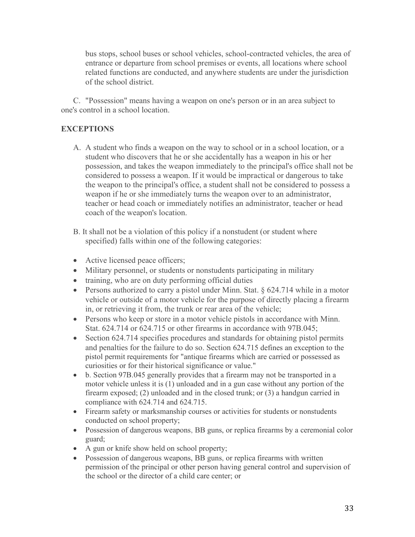bus stops, school buses or school vehicles, school-contracted vehicles, the area of entrance or departure from school premises or events, all locations where school related functions are conducted, and anywhere students are under the jurisdiction of the school district.

C. "Possession" means having a weapon on one's person or in an area subject to one's control in a school location.

#### **EXCEPTIONS**

- A. A student who finds a weapon on the way to school or in a school location, or a student who discovers that he or she accidentally has a weapon in his or her possession, and takes the weapon immediately to the principal's office shall not be considered to possess a weapon. If it would be impractical or dangerous to take the weapon to the principal's office, a student shall not be considered to possess a weapon if he or she immediately turns the weapon over to an administrator, teacher or head coach or immediately notifies an administrator, teacher or head coach of the weapon's location.
- B. It shall not be a violation of this policy if a nonstudent (or student where specified) falls within one of the following categories:
- Active licensed peace officers;
- Military personnel, or students or nonstudents participating in military
- training, who are on duty performing official duties
- Persons authorized to carry a pistol under Minn. Stat. § 624.714 while in a motor vehicle or outside of a motor vehicle for the purpose of directly placing a firearm in, or retrieving it from, the trunk or rear area of the vehicle;
- Persons who keep or store in a motor vehicle pistols in accordance with Minn. Stat. 624.714 or 624.715 or other firearms in accordance with 97B.045;
- Section 624.714 specifies procedures and standards for obtaining pistol permits and penalties for the failure to do so. Section 624.715 defines an exception to the pistol permit requirements for "antique firearms which are carried or possessed as curiosities or for their historical significance or value."
- b. Section 97B.045 generally provides that a firearm may not be transported in a motor vehicle unless it is (1) unloaded and in a gun case without any portion of the firearm exposed; (2) unloaded and in the closed trunk; or (3) a handgun carried in compliance with 624.714 and 624.715.
- Firearm safety or marksmanship courses or activities for students or nonstudents conducted on school property;
- Possession of dangerous weapons, BB guns, or replica firearms by a ceremonial color guard;
- A gun or knife show held on school property;
- Possession of dangerous weapons, BB guns, or replica firearms with written permission of the principal or other person having general control and supervision of the school or the director of a child care center; or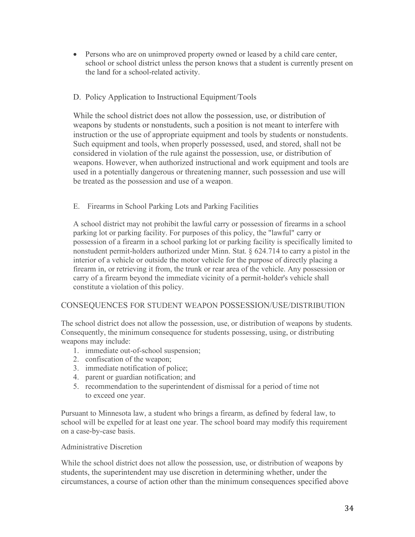• Persons who are on unimproved property owned or leased by a child care center, school or school district unless the person knows that a student is currently present on the land for a school-related activity.

#### D. Policy Application to Instructional Equipment/Tools

While the school district does not allow the possession, use, or distribution of weapons by students or nonstudents, such a position is not meant to interfere with instruction or the use of appropriate equipment and tools by students or nonstudents. Such equipment and tools, when properly possessed, used, and stored, shall not be considered in violation of the rule against the possession, use, or distribution of weapons. However, when authorized instructional and work equipment and tools are used in a potentially dangerous or threatening manner, such possession and use will be treated as the possession and use of a weapon.

#### E. Firearms in School Parking Lots and Parking Facilities

A school district may not prohibit the lawful carry or possession of firearms in a school parking lot or parking facility. For purposes of this policy, the "lawful" carry or possession of a firearm in a school parking lot or parking facility is specifically limited to nonstudent permit-holders authorized under Minn. Stat. § 624.714 to carry a pistol in the interior of a vehicle or outside the motor vehicle for the purpose of directly placing a firearm in, or retrieving it from, the trunk or rear area of the vehicle. Any possession or carry of a firearm beyond the immediate vicinity of a permit-holder's vehicle shall constitute a violation of this policy.

#### CONSEQUENCES FOR STUDENT WEAPON POSSESSION/USE/DISTRIBUTION

The school district does not allow the possession, use, or distribution of weapons by students. Consequently, the minimum consequence for students possessing, using, or distributing weapons may include:

- 1. immediate out-of-school suspension;
- 2. confiscation of the weapon;
- 3. immediate notification of police;
- 4. parent or guardian notification; and
- 5. recommendation to the superintendent of dismissal for a period of time not to exceed one year.

Pursuant to Minnesota law, a student who brings a firearm, as defined by federal law, to school will be expelled for at least one year. The school board may modify this requirement on a case-by-case basis.

#### Administrative Discretion

While the school district does not allow the possession, use, or distribution of weapons by students, the superintendent may use discretion in determining whether, under the circumstances, a course of action other than the minimum consequences specified above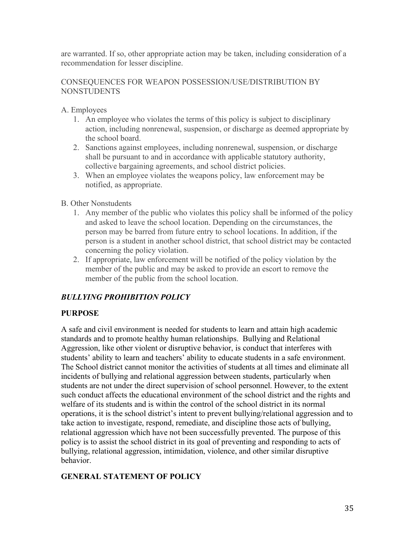are warranted. If so, other appropriate action may be taken, including consideration of a recommendation for lesser discipline.

#### CONSEQUENCES FOR WEAPON POSSESSION/USE/DISTRIBUTION BY NONSTUDENTS

A. Employees

- 1. An employee who violates the terms of this policy is subject to disciplinary action, including nonrenewal, suspension, or discharge as deemed appropriate by the school board.
- 2. Sanctions against employees, including nonrenewal, suspension, or discharge shall be pursuant to and in accordance with applicable statutory authority, collective bargaining agreements, and school district policies.
- 3. When an employee violates the weapons policy, law enforcement may be notified, as appropriate.

#### B. Other Nonstudents

- 1. Any member of the public who violates this policy shall be informed of the policy and asked to leave the school location. Depending on the circumstances, the person may be barred from future entry to school locations. In addition, if the person is a student in another school district, that school district may be contacted concerning the policy violation.
- 2. If appropriate, law enforcement will be notified of the policy violation by the member of the public and may be asked to provide an escort to remove the member of the public from the school location.

#### *BULLYING PROHIBITION POLICY*

#### **PURPOSE**

A safe and civil environment is needed for students to learn and attain high academic standards and to promote healthy human relationships. Bullying and Relational Aggression, like other violent or disruptive behavior, is conduct that interferes with students' ability to learn and teachers' ability to educate students in a safe environment. The School district cannot monitor the activities of students at all times and eliminate all incidents of bullying and relational aggression between students, particularly when students are not under the direct supervision of school personnel. However, to the extent such conduct affects the educational environment of the school district and the rights and welfare of its students and is within the control of the school district in its normal operations, it is the school district's intent to prevent bullying/relational aggression and to take action to investigate, respond, remediate, and discipline those acts of bullying, relational aggression which have not been successfully prevented. The purpose of this policy is to assist the school district in its goal of preventing and responding to acts of bullying, relational aggression, intimidation, violence, and other similar disruptive behavior.

#### **GENERAL STATEMENT OF POLICY**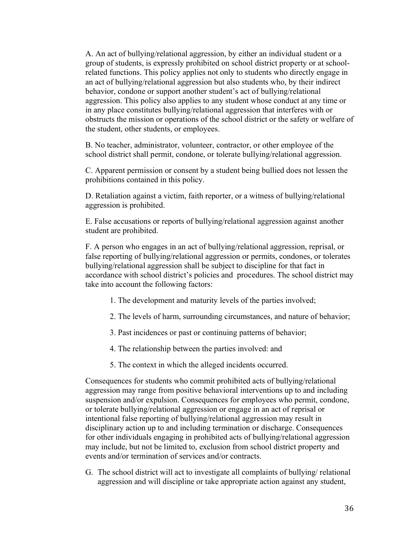A. An act of bullying/relational aggression, by either an individual student or a group of students, is expressly prohibited on school district property or at schoolrelated functions. This policy applies not only to students who directly engage in an act of bullying/relational aggression but also students who, by their indirect behavior, condone or support another student's act of bullying/relational aggression. This policy also applies to any student whose conduct at any time or in any place constitutes bullying/relational aggression that interferes with or obstructs the mission or operations of the school district or the safety or welfare of the student, other students, or employees.

B. No teacher, administrator, volunteer, contractor, or other employee of the school district shall permit, condone, or tolerate bullying/relational aggression.

C. Apparent permission or consent by a student being bullied does not lessen the prohibitions contained in this policy.

D. Retaliation against a victim, faith reporter, or a witness of bullying/relational aggression is prohibited.

E. False accusations or reports of bullying/relational aggression against another student are prohibited.

F. A person who engages in an act of bullying/relational aggression, reprisal, or false reporting of bullying/relational aggression or permits, condones, or tolerates bullying/relational aggression shall be subject to discipline for that fact in accordance with school district's policies and procedures. The school district may take into account the following factors:

- 1. The development and maturity levels of the parties involved;
- 2. The levels of harm, surrounding circumstances, and nature of behavior;
- 3. Past incidences or past or continuing patterns of behavior;
- 4. The relationship between the parties involved: and
- 5. The context in which the alleged incidents occurred.

Consequences for students who commit prohibited acts of bullying/relational aggression may range from positive behavioral interventions up to and including suspension and/or expulsion. Consequences for employees who permit, condone, or tolerate bullying/relational aggression or engage in an act of reprisal or intentional false reporting of bullying/relational aggression may result in disciplinary action up to and including termination or discharge. Consequences for other individuals engaging in prohibited acts of bullying/relational aggression may include, but not be limited to, exclusion from school district property and events and/or termination of services and/or contracts.

G. The school district will act to investigate all complaints of bullying/ relational aggression and will discipline or take appropriate action against any student,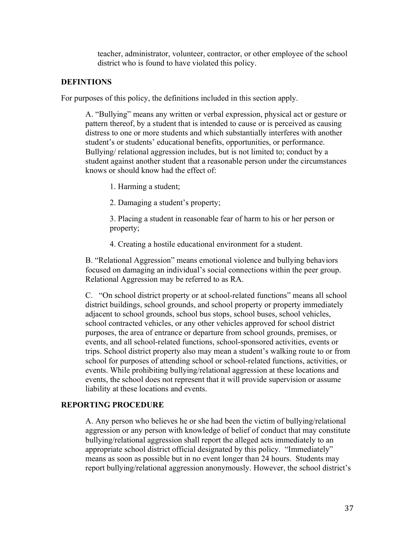teacher, administrator, volunteer, contractor, or other employee of the school district who is found to have violated this policy.

#### **DEFINTIONS**

For purposes of this policy, the definitions included in this section apply.

A. "Bullying" means any written or verbal expression, physical act or gesture or pattern thereof, by a student that is intended to cause or is perceived as causing distress to one or more students and which substantially interferes with another student's or students' educational benefits, opportunities, or performance. Bullying/ relational aggression includes, but is not limited to; conduct by a student against another student that a reasonable person under the circumstances knows or should know had the effect of:

1. Harming a student;

2. Damaging a student's property;

3. Placing a student in reasonable fear of harm to his or her person or property;

4. Creating a hostile educational environment for a student.

B. "Relational Aggression" means emotional violence and bullying behaviors focused on damaging an individual's social connections within the peer group. Relational Aggression may be referred to as RA.

C. "On school district property or at school-related functions" means all school district buildings, school grounds, and school property or property immediately adjacent to school grounds, school bus stops, school buses, school vehicles, school contracted vehicles, or any other vehicles approved for school district purposes, the area of entrance or departure from school grounds, premises, or events, and all school-related functions, school-sponsored activities, events or trips. School district property also may mean a student's walking route to or from school for purposes of attending school or school-related functions, activities, or events. While prohibiting bullying/relational aggression at these locations and events, the school does not represent that it will provide supervision or assume liability at these locations and events.

#### **REPORTING PROCEDURE**

A. Any person who believes he or she had been the victim of bullying/relational aggression or any person with knowledge of belief of conduct that may constitute bullying/relational aggression shall report the alleged acts immediately to an appropriate school district official designated by this policy. "Immediately" means as soon as possible but in no event longer than 24 hours. Students may report bullying/relational aggression anonymously. However, the school district's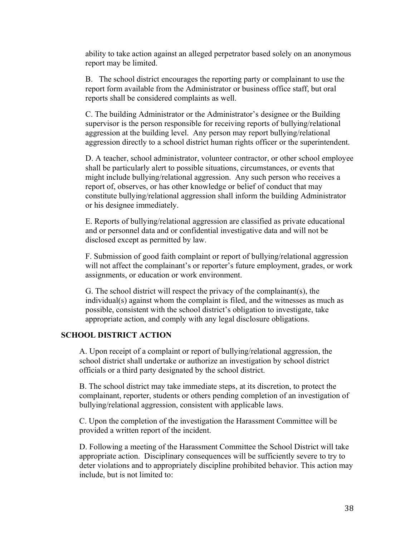ability to take action against an alleged perpetrator based solely on an anonymous report may be limited.

B. The school district encourages the reporting party or complainant to use the report form available from the Administrator or business office staff, but oral reports shall be considered complaints as well.

C. The building Administrator or the Administrator's designee or the Building supervisor is the person responsible for receiving reports of bullying/relational aggression at the building level. Any person may report bullying/relational aggression directly to a school district human rights officer or the superintendent.

D. A teacher, school administrator, volunteer contractor, or other school employee shall be particularly alert to possible situations, circumstances, or events that might include bullying/relational aggression. Any such person who receives a report of, observes, or has other knowledge or belief of conduct that may constitute bullying/relational aggression shall inform the building Administrator or his designee immediately.

E. Reports of bullying/relational aggression are classified as private educational and or personnel data and or confidential investigative data and will not be disclosed except as permitted by law.

F. Submission of good faith complaint or report of bullying/relational aggression will not affect the complainant's or reporter's future employment, grades, or work assignments, or education or work environment.

G. The school district will respect the privacy of the complainant(s), the individual(s) against whom the complaint is filed, and the witnesses as much as possible, consistent with the school district's obligation to investigate, take appropriate action, and comply with any legal disclosure obligations.

#### **SCHOOL DISTRICT ACTION**

A. Upon receipt of a complaint or report of bullying/relational aggression, the school district shall undertake or authorize an investigation by school district officials or a third party designated by the school district.

B. The school district may take immediate steps, at its discretion, to protect the complainant, reporter, students or others pending completion of an investigation of bullying/relational aggression, consistent with applicable laws.

C. Upon the completion of the investigation the Harassment Committee will be provided a written report of the incident.

D. Following a meeting of the Harassment Committee the School District will take appropriate action. Disciplinary consequences will be sufficiently severe to try to deter violations and to appropriately discipline prohibited behavior. This action may include, but is not limited to: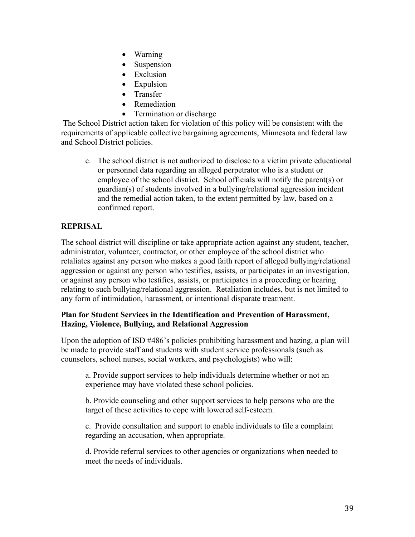- Warning
- **Suspension**
- Exclusion
- Expulsion
- **Transfer**
- Remediation
- Termination or discharge

The School District action taken for violation of this policy will be consistent with the requirements of applicable collective bargaining agreements, Minnesota and federal law and School District policies.

c. The school district is not authorized to disclose to a victim private educational or personnel data regarding an alleged perpetrator who is a student or employee of the school district. School officials will notify the parent(s) or guardian(s) of students involved in a bullying/relational aggression incident and the remedial action taken, to the extent permitted by law, based on a confirmed report.

# **REPRISAL**

The school district will discipline or take appropriate action against any student, teacher, administrator, volunteer, contractor, or other employee of the school district who retaliates against any person who makes a good faith report of alleged bullying/relational aggression or against any person who testifies, assists, or participates in an investigation, or against any person who testifies, assists, or participates in a proceeding or hearing relating to such bullying/relational aggression. Retaliation includes, but is not limited to any form of intimidation, harassment, or intentional disparate treatment.

# **Plan for Student Services in the Identification and Prevention of Harassment, Hazing, Violence, Bullying, and Relational Aggression**

Upon the adoption of ISD #486's policies prohibiting harassment and hazing, a plan will be made to provide staff and students with student service professionals (such as counselors, school nurses, social workers, and psychologists) who will:

a. Provide support services to help individuals determine whether or not an experience may have violated these school policies.

b. Provide counseling and other support services to help persons who are the target of these activities to cope with lowered self-esteem.

c. Provide consultation and support to enable individuals to file a complaint regarding an accusation, when appropriate.

d. Provide referral services to other agencies or organizations when needed to meet the needs of individuals.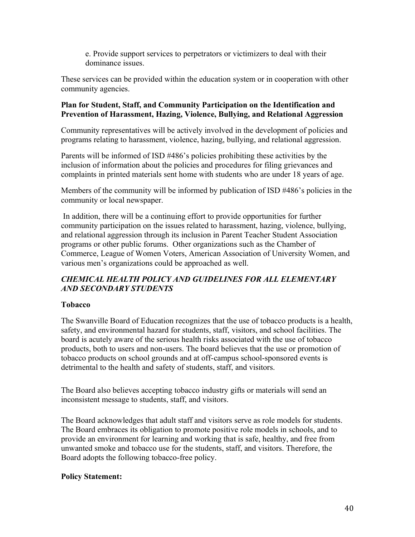e. Provide support services to perpetrators or victimizers to deal with their dominance issues.

These services can be provided within the education system or in cooperation with other community agencies.

### **Plan for Student, Staff, and Community Participation on the Identification and Prevention of Harassment, Hazing, Violence, Bullying, and Relational Aggression**

Community representatives will be actively involved in the development of policies and programs relating to harassment, violence, hazing, bullying, and relational aggression.

Parents will be informed of ISD #486's policies prohibiting these activities by the inclusion of information about the policies and procedures for filing grievances and complaints in printed materials sent home with students who are under 18 years of age.

Members of the community will be informed by publication of ISD #486's policies in the community or local newspaper.

In addition, there will be a continuing effort to provide opportunities for further community participation on the issues related to harassment, hazing, violence, bullying, and relational aggression through its inclusion in Parent Teacher Student Association programs or other public forums. Other organizations such as the Chamber of Commerce, League of Women Voters, American Association of University Women, and various men's organizations could be approached as well.

# *CHEMICAL HEALTH POLICY AND GUIDELINES FOR ALL ELEMENTARY AND SECONDARY STUDENTS*

# **Tobacco**

The Swanville Board of Education recognizes that the use of tobacco products is a health, safety, and environmental hazard for students, staff, visitors, and school facilities. The board is acutely aware of the serious health risks associated with the use of tobacco products, both to users and non-users. The board believes that the use or promotion of tobacco products on school grounds and at off-campus school-sponsored events is detrimental to the health and safety of students, staff, and visitors.

The Board also believes accepting tobacco industry gifts or materials will send an inconsistent message to students, staff, and visitors.

The Board acknowledges that adult staff and visitors serve as role models for students. The Board embraces its obligation to promote positive role models in schools, and to provide an environment for learning and working that is safe, healthy, and free from unwanted smoke and tobacco use for the students, staff, and visitors. Therefore, the Board adopts the following tobacco-free policy.

### **Policy Statement:**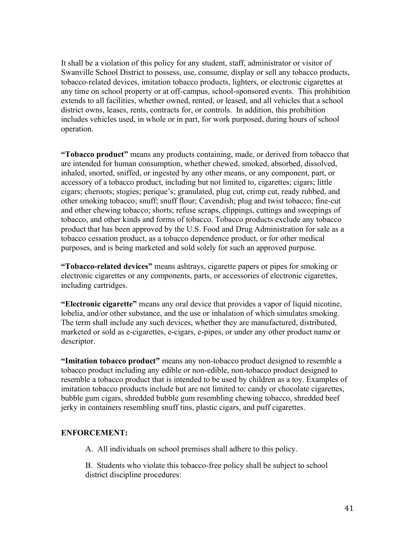It shall be a violation of this policy for any student, staff, administrator or visitor of Swanville School District to possess, use, consume, display or sell any tobacco products, tobacco-related devices, imitation tobacco products, lighters, or electronic cigarettes at any time on school property or at off-campus, school-sponsored events. This prohibition extends to all facilities, whether owned, rented, or leased, and all vehicles that a school district owns, leases, rents, contracts for, or controls. In addition, this prohibition includes vehicles used, in whole or in part, for work purposed, during hours of school operation.

**"Tobacco product"** means any products containing, made, or derived from tobacco that are intended for human consumption, whether chewed, smoked, absorbed, dissolved, inhaled, snorted, sniffed, or ingested by any other means, or any component, part, or accessory of a tobacco product, including but not limited to, cigarettes; cigars; little cigars; cheroots; stogies; perique's; granulated, plug cut, crimp cut, ready rubbed, and other smoking tobacco; snuff; snuff flour; Cavendish; plug and twist tobacco; fine-cut and other chewing tobacco; shorts; refuse scraps, clippings, cuttings and sweepings of tobacco, and other kinds and forms of tobacco. Tobacco products exclude any tobacco product that has been approved by the U.S. Food and Drug Administration for sale as a tobacco cessation product, as a tobacco dependence product, or for other medical purposes, and is being marketed and sold solely for such an approved purpose.

**"Tobacco-related devices"** means ashtrays, cigarette papers or pipes for smoking or electronic cigarettes or any components, parts, or accessories of electronic cigarettes, including cartridges.

**"Electronic cigarette"** means any oral device that provides a vapor of liquid nicotine, lobelia, and/or other substance, and the use or inhalation of which simulates smoking. The term shall include any such devices, whether they are manufactured, distributed, marketed or sold as e-cigarettes, e-cigars, e-pipes, or under any other product name or descriptor.

**"Imitation tobacco product"** means any non-tobacco product designed to resemble a tobacco product including any edible or non-edible, non-tobacco product designed to resemble a tobacco product that is intended to be used by children as a toy. Examples of imitation tobacco products include but are not limited to: candy or chocolate cigarettes, bubble gum cigars, shredded bubble gum resembling chewing tobacco, shredded beef jerky in containers resembling snuff tins, plastic cigars, and puff cigarettes.

### **ENFORCEMENT:**

A. All individuals on school premises shall adhere to this policy.

B. Students who violate this tobacco-free policy shall be subject to school district discipline procedures: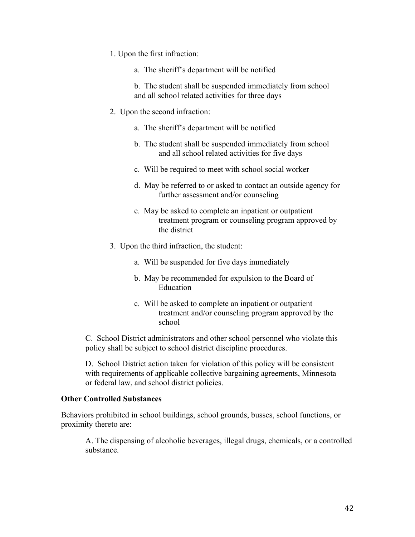- 1. Upon the first infraction:
	- a. The sheriff's department will be notified

b. The student shall be suspended immediately from school and all school related activities for three days

- 2. Upon the second infraction:
	- a. The sheriff's department will be notified
	- b. The student shall be suspended immediately from school and all school related activities for five days
	- c. Will be required to meet with school social worker
	- d. May be referred to or asked to contact an outside agency for further assessment and/or counseling
	- e. May be asked to complete an inpatient or outpatient treatment program or counseling program approved by the district
- 3. Upon the third infraction, the student:
	- a. Will be suspended for five days immediately
	- b. May be recommended for expulsion to the Board of Education
	- c. Will be asked to complete an inpatient or outpatient treatment and/or counseling program approved by the school

C. School District administrators and other school personnel who violate this policy shall be subject to school district discipline procedures.

D. School District action taken for violation of this policy will be consistent with requirements of applicable collective bargaining agreements, Minnesota or federal law, and school district policies.

#### **Other Controlled Substances**

Behaviors prohibited in school buildings, school grounds, busses, school functions, or proximity thereto are:

A. The dispensing of alcoholic beverages, illegal drugs, chemicals, or a controlled substance.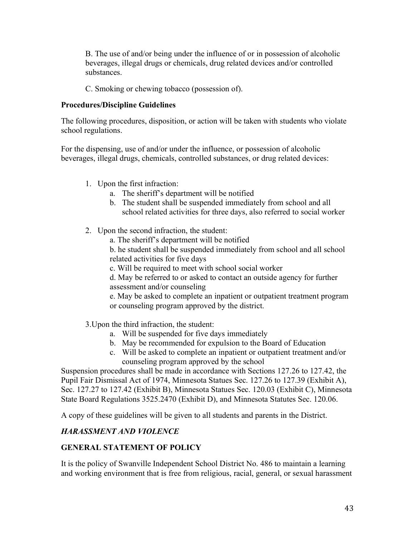B. The use of and/or being under the influence of or in possession of alcoholic beverages, illegal drugs or chemicals, drug related devices and/or controlled substances.

C. Smoking or chewing tobacco (possession of).

### **Procedures/Discipline Guidelines**

The following procedures, disposition, or action will be taken with students who violate school regulations.

For the dispensing, use of and/or under the influence, or possession of alcoholic beverages, illegal drugs, chemicals, controlled substances, or drug related devices:

- 1. Upon the first infraction:
	- a. The sheriff's department will be notified
	- b. The student shall be suspended immediately from school and all school related activities for three days, also referred to social worker
- 2. Upon the second infraction, the student:
	- a. The sheriff's department will be notified
	- b. he student shall be suspended immediately from school and all school related activities for five days
	- c. Will be required to meet with school social worker

d. May be referred to or asked to contact an outside agency for further assessment and/or counseling

e. May be asked to complete an inpatient or outpatient treatment program or counseling program approved by the district.

- 3.Upon the third infraction, the student:
	- a. Will be suspended for five days immediately
	- b. May be recommended for expulsion to the Board of Education
	- c. Will be asked to complete an inpatient or outpatient treatment and/or counseling program approved by the school

Suspension procedures shall be made in accordance with Sections 127.26 to 127.42, the Pupil Fair Dismissal Act of 1974, Minnesota Statues Sec. 127.26 to 127.39 (Exhibit A), Sec. 127.27 to 127.42 (Exhibit B), Minnesota Statues Sec. 120.03 (Exhibit C), Minnesota State Board Regulations 3525.2470 (Exhibit D), and Minnesota Statutes Sec. 120.06.

A copy of these guidelines will be given to all students and parents in the District.

# *HARASSMENT AND VIOLENCE*

# **GENERAL STATEMENT OF POLICY**

It is the policy of Swanville Independent School District No. 486 to maintain a learning and working environment that is free from religious, racial, general, or sexual harassment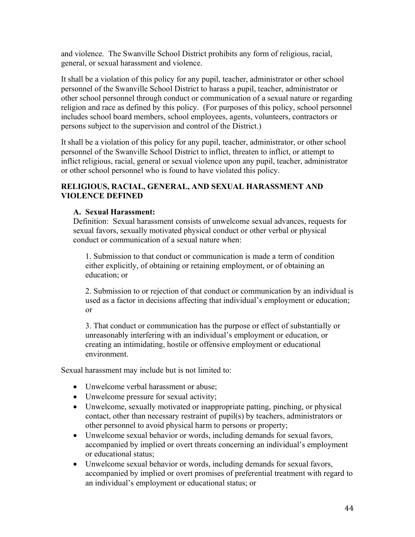and violence. The Swanville School District prohibits any form of religious, racial, general, or sexual harassment and violence.

It shall be a violation of this policy for any pupil, teacher, administrator or other school personnel of the Swanville School District to harass a pupil, teacher, administrator or other school personnel through conduct or communication of a sexual nature or regarding religion and race as defined by this policy. (For purposes of this policy, school personnel includes school board members, school employees, agents, volunteers, contractors or persons subject to the supervision and control of the District.)

It shall be a violation of this policy for any pupil, teacher, administrator, or other school personnel of the Swanville School District to inflict, threaten to inflict, or attempt to inflict religious, racial, general or sexual violence upon any pupil, teacher, administrator or other school personnel who is found to have violated this policy.

#### **RELIGIOUS, RACIAL, GENERAL, AND SEXUAL HARASSMENT AND VIOLENCE DEFINED**

#### **A. Sexual Harassment:**

Definition: Sexual harassment consists of unwelcome sexual advances, requests for sexual favors, sexually motivated physical conduct or other verbal or physical conduct or communication of a sexual nature when:

1. Submission to that conduct or communication is made a term of condition either explicitly, of obtaining or retaining employment, or of obtaining an education; or

2. Submission to or rejection of that conduct or communication by an individual is used as a factor in decisions affecting that individual's employment or education; or

3. That conduct or communication has the purpose or effect of substantially or unreasonably interfering with an individual's employment or education, or creating an intimidating, hostile or offensive employment or educational environment.

Sexual harassment may include but is not limited to:

- Unwelcome verbal harassment or abuse:
- Unwelcome pressure for sexual activity;
- Unwelcome, sexually motivated or inappropriate patting, pinching, or physical contact, other than necessary restraint of pupil(s) by teachers, administrators or other personnel to avoid physical harm to persons or property;
- Unwelcome sexual behavior or words, including demands for sexual favors, accompanied by implied or overt threats concerning an individual's employment or educational status;
- Unwelcome sexual behavior or words, including demands for sexual favors, accompanied by implied or overt promises of preferential treatment with regard to an individual's employment or educational status; or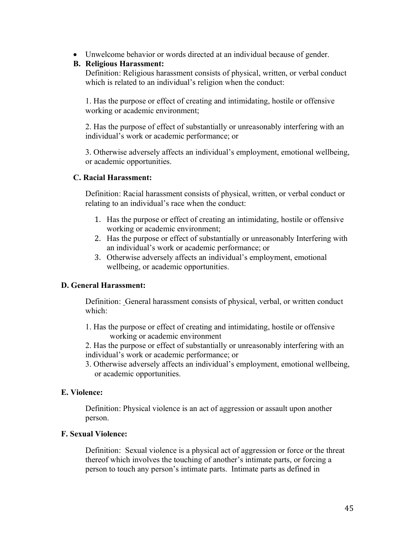• Unwelcome behavior or words directed at an individual because of gender.

#### **B. Religious Harassment:**

Definition: Religious harassment consists of physical, written, or verbal conduct which is related to an individual's religion when the conduct:

1. Has the purpose or effect of creating and intimidating, hostile or offensive working or academic environment;

2. Has the purpose of effect of substantially or unreasonably interfering with an individual's work or academic performance; or

3. Otherwise adversely affects an individual's employment, emotional wellbeing, or academic opportunities.

### **C. Racial Harassment:**

Definition: Racial harassment consists of physical, written, or verbal conduct or relating to an individual's race when the conduct:

- 1. Has the purpose or effect of creating an intimidating, hostile or offensive working or academic environment;
- 2. Has the purpose or effect of substantially or unreasonably Interfering with an individual's work or academic performance; or
- 3. Otherwise adversely affects an individual's employment, emotional wellbeing, or academic opportunities.

### **D. General Harassment:**

Definition: General harassment consists of physical, verbal, or written conduct which:

- 1. Has the purpose or effect of creating and intimidating, hostile or offensive working or academic environment
- 2. Has the purpose or effect of substantially or unreasonably interfering with an individual's work or academic performance; or
- 3. Otherwise adversely affects an individual's employment, emotional wellbeing, or academic opportunities.

### **E. Violence:**

Definition: Physical violence is an act of aggression or assault upon another person.

### **F. Sexual Violence:**

Definition: Sexual violence is a physical act of aggression or force or the threat thereof which involves the touching of another's intimate parts, or forcing a person to touch any person's intimate parts. Intimate parts as defined in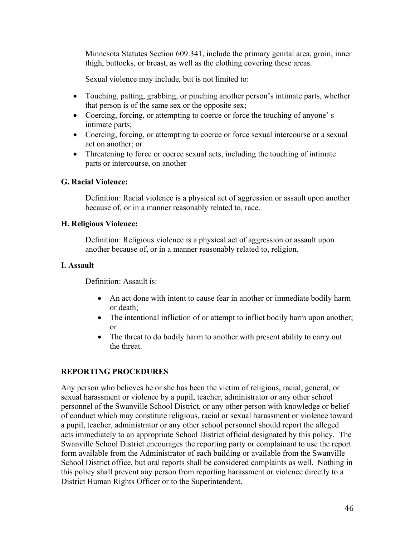Minnesota Statutes Section 609.341, include the primary genital area, groin, inner thigh, buttocks, or breast, as well as the clothing covering these areas.

Sexual violence may include, but is not limited to:

- Touching, patting, grabbing, or pinching another person's intimate parts, whether that person is of the same sex or the opposite sex;
- Coercing, forcing, or attempting to coerce or force the touching of anyone's intimate parts;
- Coercing, forcing, or attempting to coerce or force sexual intercourse or a sexual act on another; or
- Threatening to force or coerce sexual acts, including the touching of intimate parts or intercourse, on another

#### **G. Racial Violence:**

Definition: Racial violence is a physical act of aggression or assault upon another because of, or in a manner reasonably related to, race.

#### **H. Religious Violence:**

Definition: Religious violence is a physical act of aggression or assault upon another because of, or in a manner reasonably related to, religion.

#### **I. Assault**

Definition: Assault is:

- An act done with intent to cause fear in another or immediate bodily harm or death;
- The intentional infliction of or attempt to inflict bodily harm upon another; or
- The threat to do bodily harm to another with present ability to carry out the threat.

### **REPORTING PROCEDURES**

Any person who believes he or she has been the victim of religious, racial, general, or sexual harassment or violence by a pupil, teacher, administrator or any other school personnel of the Swanville School District, or any other person with knowledge or belief of conduct which may constitute religious, racial or sexual harassment or violence toward a pupil, teacher, administrator or any other school personnel should report the alleged acts immediately to an appropriate School District official designated by this policy. The Swanville School District encourages the reporting party or complainant to use the report form available from the Administrator of each building or available from the Swanville School District office, but oral reports shall be considered complaints as well. Nothing in this policy shall prevent any person from reporting harassment or violence directly to a District Human Rights Officer or to the Superintendent.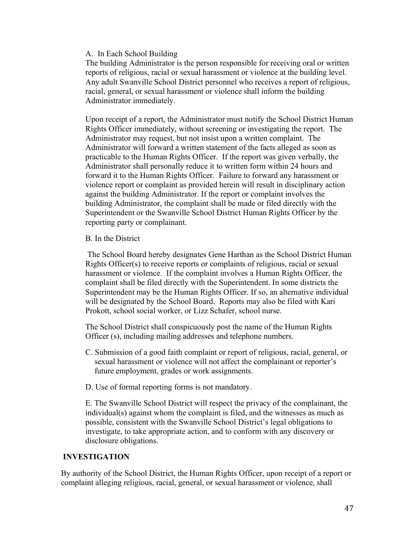#### A. In Each School Building

The building Administrator is the person responsible for receiving oral or written reports of religious, racial or sexual harassment or violence at the building level. Any adult Swanville School District personnel who receives a report of religious, racial, general, or sexual harassment or violence shall inform the building Administrator immediately.

Upon receipt of a report, the Administrator must notify the School District Human Rights Officer immediately, without screening or investigating the report. The Administrator may request, but not insist upon a written complaint. The Administrator will forward a written statement of the facts alleged as soon as practicable to the Human Rights Officer. If the report was given verbally, the Administrator shall personally reduce it to written form within 24 hours and forward it to the Human Rights Officer. Failure to forward any harassment or violence report or complaint as provided herein will result in disciplinary action against the building Administrator. If the report or complaint involves the building Administrator, the complaint shall be made or filed directly with the Superintendent or the Swanville School District Human Rights Officer by the reporting party or complainant.

#### B. In the District

The School Board hereby designates Gene Harthan as the School District Human Rights Officer(s) to receive reports or complaints of religious, racial or sexual harassment or violence. If the complaint involves a Human Rights Officer, the complaint shall be filed directly with the Superintendent. In some districts the Superintendent may be the Human Rights Officer. If so, an alternative individual will be designated by the School Board. Reports may also be filed with Kari Prokott, school social worker, or Lizz Schafer, school nurse.

The School District shall conspicuously post the name of the Human Rights Officer (s), including mailing addresses and telephone numbers.

- C. Submission of a good faith complaint or report of religious, racial, general, or sexual harassment or violence will not affect the complainant or reporter's future employment, grades or work assignments.
- D. Use of formal reporting forms is not mandatory.

E. The Swanville School District will respect the privacy of the complainant, the individual(s) against whom the complaint is filed, and the witnesses as much as possible, consistent with the Swanville School District's legal obligations to investigate, to take appropriate action, and to conform with any discovery or disclosure obligations.

#### **INVESTIGATION**

By authority of the School District, the Human Rights Officer, upon receipt of a report or complaint alleging religious, racial, general, or sexual harassment or violence, shall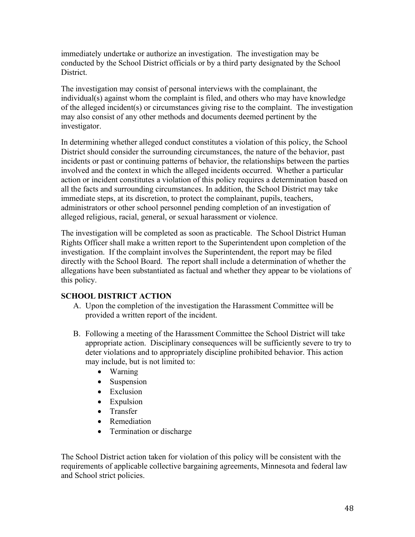immediately undertake or authorize an investigation. The investigation may be conducted by the School District officials or by a third party designated by the School District.

The investigation may consist of personal interviews with the complainant, the individual(s) against whom the complaint is filed, and others who may have knowledge of the alleged incident(s) or circumstances giving rise to the complaint. The investigation may also consist of any other methods and documents deemed pertinent by the investigator.

In determining whether alleged conduct constitutes a violation of this policy, the School District should consider the surrounding circumstances, the nature of the behavior, past incidents or past or continuing patterns of behavior, the relationships between the parties involved and the context in which the alleged incidents occurred. Whether a particular action or incident constitutes a violation of this policy requires a determination based on all the facts and surrounding circumstances. In addition, the School District may take immediate steps, at its discretion, to protect the complainant, pupils, teachers, administrators or other school personnel pending completion of an investigation of alleged religious, racial, general, or sexual harassment or violence.

The investigation will be completed as soon as practicable. The School District Human Rights Officer shall make a written report to the Superintendent upon completion of the investigation. If the complaint involves the Superintendent, the report may be filed directly with the School Board. The report shall include a determination of whether the allegations have been substantiated as factual and whether they appear to be violations of this policy.

### **SCHOOL DISTRICT ACTION**

- A. Upon the completion of the investigation the Harassment Committee will be provided a written report of the incident.
- B. Following a meeting of the Harassment Committee the School District will take appropriate action. Disciplinary consequences will be sufficiently severe to try to deter violations and to appropriately discipline prohibited behavior. This action may include, but is not limited to:
	- Warning
	- Suspension
	- Exclusion
	- Expulsion
	- Transfer
	- Remediation
	- Termination or discharge

The School District action taken for violation of this policy will be consistent with the requirements of applicable collective bargaining agreements, Minnesota and federal law and School strict policies.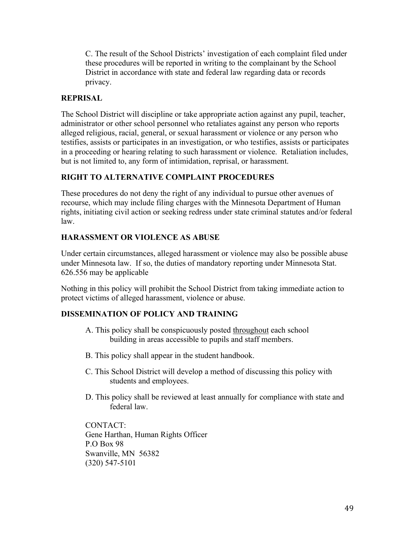C. The result of the School Districts' investigation of each complaint filed under these procedures will be reported in writing to the complainant by the School District in accordance with state and federal law regarding data or records privacy.

#### **REPRISAL**

The School District will discipline or take appropriate action against any pupil, teacher, administrator or other school personnel who retaliates against any person who reports alleged religious, racial, general, or sexual harassment or violence or any person who testifies, assists or participates in an investigation, or who testifies, assists or participates in a proceeding or hearing relating to such harassment or violence. Retaliation includes, but is not limited to, any form of intimidation, reprisal, or harassment.

#### **RIGHT TO ALTERNATIVE COMPLAINT PROCEDURES**

These procedures do not deny the right of any individual to pursue other avenues of recourse, which may include filing charges with the Minnesota Department of Human rights, initiating civil action or seeking redress under state criminal statutes and/or federal law.

#### **HARASSMENT OR VIOLENCE AS ABUSE**

Under certain circumstances, alleged harassment or violence may also be possible abuse under Minnesota law. If so, the duties of mandatory reporting under Minnesota Stat. 626.556 may be applicable

Nothing in this policy will prohibit the School District from taking immediate action to protect victims of alleged harassment, violence or abuse.

### **DISSEMINATION OF POLICY AND TRAINING**

- A. This policy shall be conspicuously posted throughout each school building in areas accessible to pupils and staff members.
- B. This policy shall appear in the student handbook.
- C. This School District will develop a method of discussing this policy with students and employees.
- D. This policy shall be reviewed at least annually for compliance with state and federal law.

CONTACT: Gene Harthan, Human Rights Officer P.O Box 98 Swanville, MN 56382 (320) 547-5101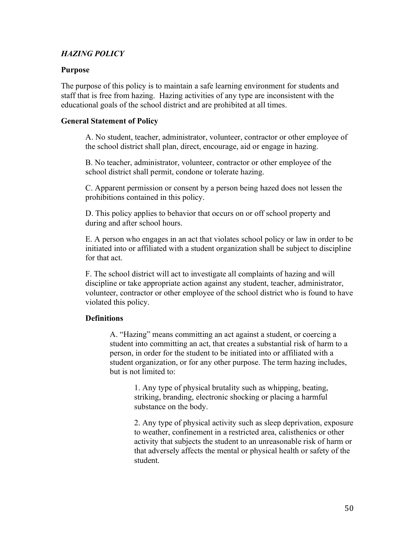## *HAZING POLICY*

#### **Purpose**

The purpose of this policy is to maintain a safe learning environment for students and staff that is free from hazing. Hazing activities of any type are inconsistent with the educational goals of the school district and are prohibited at all times.

#### **General Statement of Policy**

A. No student, teacher, administrator, volunteer, contractor or other employee of the school district shall plan, direct, encourage, aid or engage in hazing.

B. No teacher, administrator, volunteer, contractor or other employee of the school district shall permit, condone or tolerate hazing.

C. Apparent permission or consent by a person being hazed does not lessen the prohibitions contained in this policy.

D. This policy applies to behavior that occurs on or off school property and during and after school hours.

E. A person who engages in an act that violates school policy or law in order to be initiated into or affiliated with a student organization shall be subject to discipline for that act.

F. The school district will act to investigate all complaints of hazing and will discipline or take appropriate action against any student, teacher, administrator, volunteer, contractor or other employee of the school district who is found to have violated this policy.

### **Definitions**

A. "Hazing" means committing an act against a student, or coercing a student into committing an act, that creates a substantial risk of harm to a person, in order for the student to be initiated into or affiliated with a student organization, or for any other purpose. The term hazing includes, but is not limited to:

> 1. Any type of physical brutality such as whipping, beating, striking, branding, electronic shocking or placing a harmful substance on the body.

2. Any type of physical activity such as sleep deprivation, exposure to weather, confinement in a restricted area, calisthenics or other activity that subjects the student to an unreasonable risk of harm or that adversely affects the mental or physical health or safety of the student.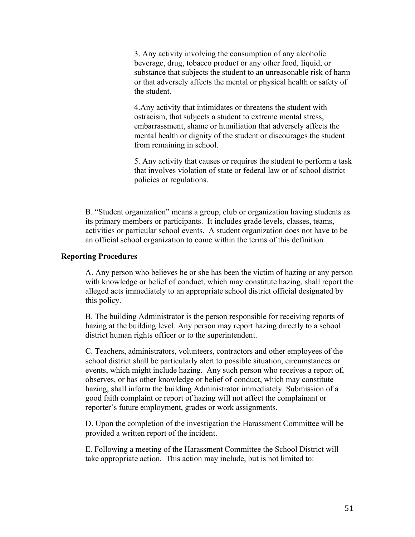3. Any activity involving the consumption of any alcoholic beverage, drug, tobacco product or any other food, liquid, or substance that subjects the student to an unreasonable risk of harm or that adversely affects the mental or physical health or safety of the student.

4.Any activity that intimidates or threatens the student with ostracism, that subjects a student to extreme mental stress, embarrassment, shame or humiliation that adversely affects the mental health or dignity of the student or discourages the student from remaining in school.

5. Any activity that causes or requires the student to perform a task that involves violation of state or federal law or of school district policies or regulations.

B. "Student organization" means a group, club or organization having students as its primary members or participants. It includes grade levels, classes, teams, activities or particular school events. A student organization does not have to be an official school organization to come within the terms of this definition

#### **Reporting Procedures**

A. Any person who believes he or she has been the victim of hazing or any person with knowledge or belief of conduct, which may constitute hazing, shall report the alleged acts immediately to an appropriate school district official designated by this policy.

B. The building Administrator is the person responsible for receiving reports of hazing at the building level. Any person may report hazing directly to a school district human rights officer or to the superintendent.

C. Teachers, administrators, volunteers, contractors and other employees of the school district shall be particularly alert to possible situation, circumstances or events, which might include hazing. Any such person who receives a report of, observes, or has other knowledge or belief of conduct, which may constitute hazing, shall inform the building Administrator immediately. Submission of a good faith complaint or report of hazing will not affect the complainant or reporter's future employment, grades or work assignments.

D. Upon the completion of the investigation the Harassment Committee will be provided a written report of the incident.

E. Following a meeting of the Harassment Committee the School District will take appropriate action. This action may include, but is not limited to: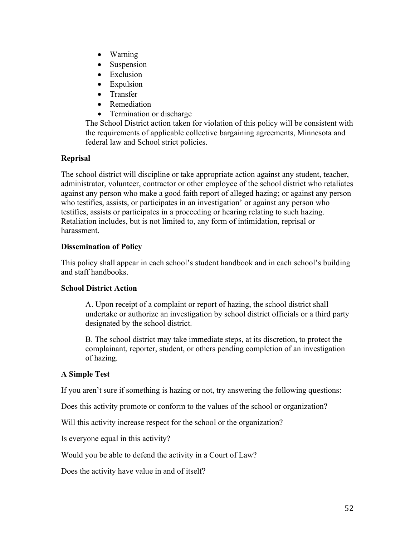- Warning
- Suspension
- Exclusion
- Expulsion
- Transfer
- Remediation
- Termination or discharge

The School District action taken for violation of this policy will be consistent with the requirements of applicable collective bargaining agreements, Minnesota and federal law and School strict policies.

# **Reprisal**

The school district will discipline or take appropriate action against any student, teacher, administrator, volunteer, contractor or other employee of the school district who retaliates against any person who make a good faith report of alleged hazing; or against any person who testifies, assists, or participates in an investigation' or against any person who testifies, assists or participates in a proceeding or hearing relating to such hazing. Retaliation includes, but is not limited to, any form of intimidation, reprisal or harassment.

### **Dissemination of Policy**

This policy shall appear in each school's student handbook and in each school's building and staff handbooks.

### **School District Action**

A. Upon receipt of a complaint or report of hazing, the school district shall undertake or authorize an investigation by school district officials or a third party designated by the school district.

B. The school district may take immediate steps, at its discretion, to protect the complainant, reporter, student, or others pending completion of an investigation of hazing.

# **A Simple Test**

If you aren't sure if something is hazing or not, try answering the following questions:

Does this activity promote or conform to the values of the school or organization?

Will this activity increase respect for the school or the organization?

Is everyone equal in this activity?

Would you be able to defend the activity in a Court of Law?

Does the activity have value in and of itself?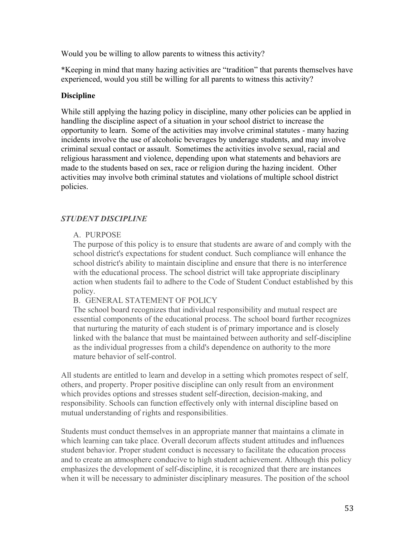Would you be willing to allow parents to witness this activity?

\*Keeping in mind that many hazing activities are "tradition" that parents themselves have experienced, would you still be willing for all parents to witness this activity?

## **Discipline**

While still applying the hazing policy in discipline, many other policies can be applied in handling the discipline aspect of a situation in your school district to increase the opportunity to learn. Some of the activities may involve criminal statutes - many hazing incidents involve the use of alcoholic beverages by underage students, and may involve criminal sexual contact or assault. Sometimes the activities involve sexual, racial and religious harassment and violence, depending upon what statements and behaviors are made to the students based on sex, race or religion during the hazing incident. Other activities may involve both criminal statutes and violations of multiple school district policies.

# *STUDENT DISCIPLINE*

# A. PURPOSE

The purpose of this policy is to ensure that students are aware of and comply with the school district's expectations for student conduct. Such compliance will enhance the school district's ability to maintain discipline and ensure that there is no interference with the educational process. The school district will take appropriate disciplinary action when students fail to adhere to the Code of Student Conduct established by this policy.

### B. GENERAL STATEMENT OF POLICY

The school board recognizes that individual responsibility and mutual respect are essential components of the educational process. The school board further recognizes that nurturing the maturity of each student is of primary importance and is closely linked with the balance that must be maintained between authority and self-discipline as the individual progresses from a child's dependence on authority to the more mature behavior of self-control.

All students are entitled to learn and develop in a setting which promotes respect of self, others, and property. Proper positive discipline can only result from an environment which provides options and stresses student self-direction, decision-making, and responsibility. Schools can function effectively only with internal discipline based on mutual understanding of rights and responsibilities.

Students must conduct themselves in an appropriate manner that maintains a climate in which learning can take place. Overall decorum affects student attitudes and influences student behavior. Proper student conduct is necessary to facilitate the education process and to create an atmosphere conducive to high student achievement. Although this policy emphasizes the development of self-discipline, it is recognized that there are instances when it will be necessary to administer disciplinary measures. The position of the school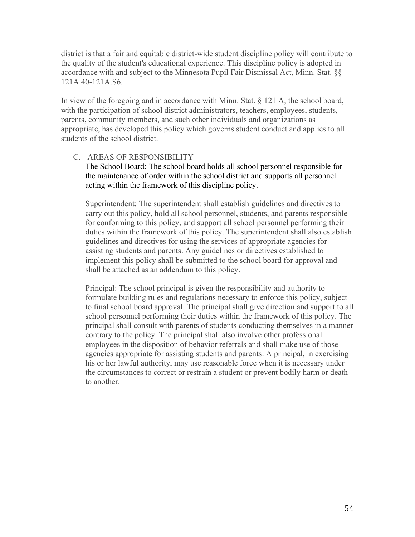district is that a fair and equitable district-wide student discipline policy will contribute to the quality of the student's educational experience. This discipline policy is adopted in accordance with and subject to the Minnesota Pupil Fair Dismissal Act, Minn. Stat. §§ 121A.40-121A.S6.

In view of the foregoing and in accordance with Minn. Stat. § 121 A, the school board, with the participation of school district administrators, teachers, employees, students, parents, community members, and such other individuals and organizations as appropriate, has developed this policy which governs student conduct and applies to all students of the school district.

### C. AREAS OF RESPONSIBILITY

The School Board: The school board holds all school personnel responsible for the maintenance of order within the school district and supports all personnel acting within the framework of this discipline policy.

Superintendent: The superintendent shall establish guidelines and directives to carry out this policy, hold all school personnel, students, and parents responsible for conforming to this policy, and support all school personnel performing their duties within the framework of this policy. The superintendent shall also establish guidelines and directives for using the services of appropriate agencies for assisting students and parents. Any guidelines or directives established to implement this policy shall be submitted to the school board for approval and shall be attached as an addendum to this policy.

Principal: The school principal is given the responsibility and authority to formulate building rules and regulations necessary to enforce this policy, subject to final school board approval. The principal shall give direction and support to all school personnel performing their duties within the framework of this policy. The principal shall consult with parents of students conducting themselves in a manner contrary to the policy. The principal shall also involve other professional employees in the disposition of behavior referrals and shall make use of those agencies appropriate for assisting students and parents. A principal, in exercising his or her lawful authority, may use reasonable force when it is necessary under the circumstances to correct or restrain a student or prevent bodily harm or death to another.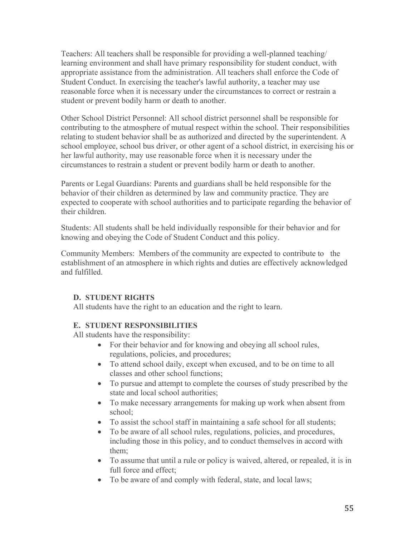Teachers: All teachers shall be responsible for providing a well-planned teaching/ learning environment and shall have primary responsibility for student conduct, with appropriate assistance from the administration. All teachers shall enforce the Code of Student Conduct. In exercising the teacher's lawful authority, a teacher may use reasonable force when it is necessary under the circumstances to correct or restrain a student or prevent bodily harm or death to another.

Other School District Personnel: All school district personnel shall be responsible for contributing to the atmosphere of mutual respect within the school. Their responsibilities relating to student behavior shall be as authorized and directed by the superintendent. A school employee, school bus driver, or other agent of a school district, in exercising his or her lawful authority, may use reasonable force when it is necessary under the circumstances to restrain a student or prevent bodily harm or death to another.

Parents or Legal Guardians: Parents and guardians shall be held responsible for the behavior of their children as determined by law and community practice. They are expected to cooperate with school authorities and to participate regarding the behavior of their children.

Students: All students shall be held individually responsible for their behavior and for knowing and obeying the Code of Student Conduct and this policy.

Community Members: Members of the community are expected to contribute to the establishment of an atmosphere in which rights and duties are effectively acknowledged and fulfilled.

### **D. STUDENT RIGHTS**

All students have the right to an education and the right to learn.

### **E. STUDENT RESPONSIBILITIES**

All students have the responsibility:

- For their behavior and for knowing and obeying all school rules, regulations, policies, and procedures;
- To attend school daily, except when excused, and to be on time to all classes and other school functions;
- To pursue and attempt to complete the courses of study prescribed by the state and local school authorities;
- To make necessary arrangements for making up work when absent from school;
- To assist the school staff in maintaining a safe school for all students;
- To be aware of all school rules, regulations, policies, and procedures, including those in this policy, and to conduct themselves in accord with them;
- To assume that until a rule or policy is waived, altered, or repealed, it is in full force and effect;
- To be aware of and comply with federal, state, and local laws;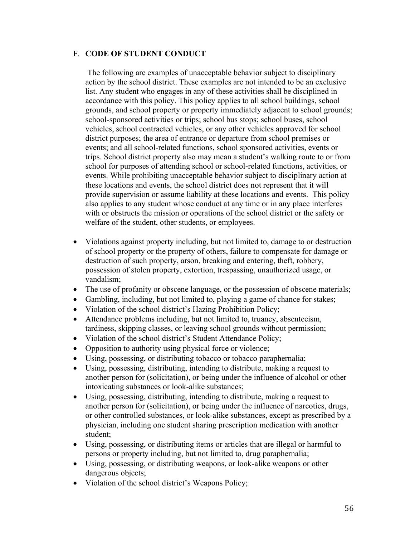#### F. **CODE OF STUDENT CONDUCT**

The following are examples of unacceptable behavior subject to disciplinary action by the school district. These examples are not intended to be an exclusive list. Any student who engages in any of these activities shall be disciplined in accordance with this policy. This policy applies to all school buildings, school grounds, and school property or property immediately adjacent to school grounds; school-sponsored activities or trips; school bus stops; school buses, school vehicles, school contracted vehicles, or any other vehicles approved for school district purposes; the area of entrance or departure from school premises or events; and all school-related functions, school sponsored activities, events or trips. School district property also may mean a student's walking route to or from school for purposes of attending school or school-related functions, activities, or events. While prohibiting unacceptable behavior subject to disciplinary action at these locations and events, the school district does not represent that it will provide supervision or assume liability at these locations and events. This policy also applies to any student whose conduct at any time or in any place interferes with or obstructs the mission or operations of the school district or the safety or welfare of the student, other students, or employees.

- Violations against property including, but not limited to, damage to or destruction of school property or the property of others, failure to compensate for damage or destruction of such property, arson, breaking and entering, theft, robbery, possession of stolen property, extortion, trespassing, unauthorized usage, or vandalism;
- The use of profanity or obscene language, or the possession of obscene materials;
- Gambling, including, but not limited to, playing a game of chance for stakes;
- Violation of the school district's Hazing Prohibition Policy;
- Attendance problems including, but not limited to, truancy, absenteeism, tardiness, skipping classes, or leaving school grounds without permission;
- Violation of the school district's Student Attendance Policy;
- Opposition to authority using physical force or violence;
- Using, possessing, or distributing tobacco or tobacco paraphernalia;
- Using, possessing, distributing, intending to distribute, making a request to another person for (solicitation), or being under the influence of alcohol or other intoxicating substances or look-alike substances;
- Using, possessing, distributing, intending to distribute, making a request to another person for (solicitation), or being under the influence of narcotics, drugs, or other controlled substances, or look-alike substances, except as prescribed by a physician, including one student sharing prescription medication with another student;
- Using, possessing, or distributing items or articles that are illegal or harmful to persons or property including, but not limited to, drug paraphernalia;
- Using, possessing, or distributing weapons, or look-alike weapons or other dangerous objects;
- Violation of the school district's Weapons Policy;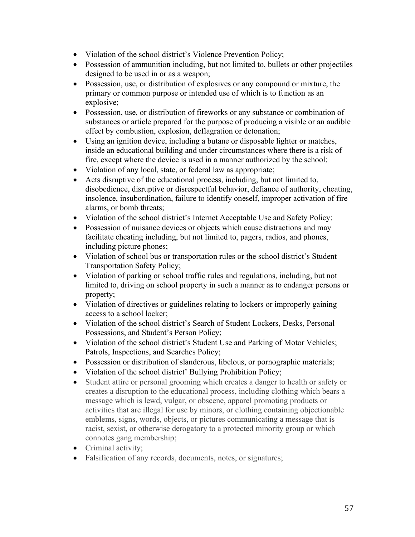- Violation of the school district's Violence Prevention Policy;
- Possession of ammunition including, but not limited to, bullets or other projectiles designed to be used in or as a weapon;
- Possession, use, or distribution of explosives or any compound or mixture, the primary or common purpose or intended use of which is to function as an explosive;
- Possession, use, or distribution of fireworks or any substance or combination of substances or article prepared for the purpose of producing a visible or an audible effect by combustion, explosion, deflagration or detonation;
- Using an ignition device, including a butane or disposable lighter or matches, inside an educational building and under circumstances where there is a risk of fire, except where the device is used in a manner authorized by the school;
- Violation of any local, state, or federal law as appropriate;
- Acts disruptive of the educational process, including, but not limited to, disobedience, disruptive or disrespectful behavior, defiance of authority, cheating, insolence, insubordination, failure to identify oneself, improper activation of fire alarms, or bomb threats;
- Violation of the school district's Internet Acceptable Use and Safety Policy;
- Possession of nuisance devices or objects which cause distractions and may facilitate cheating including, but not limited to, pagers, radios, and phones, including picture phones;
- Violation of school bus or transportation rules or the school district's Student Transportation Safety Policy;
- Violation of parking or school traffic rules and regulations, including, but not limited to, driving on school property in such a manner as to endanger persons or property;
- Violation of directives or guidelines relating to lockers or improperly gaining access to a school locker;
- Violation of the school district's Search of Student Lockers, Desks, Personal Possessions, and Student's Person Policy;
- Violation of the school district's Student Use and Parking of Motor Vehicles; Patrols, Inspections, and Searches Policy;
- Possession or distribution of slanderous, libelous, or pornographic materials;
- Violation of the school district' Bullying Prohibition Policy;
- Student attire or personal grooming which creates a danger to health or safety or creates a disruption to the educational process, including clothing which bears a message which is lewd, vulgar, or obscene, apparel promoting products or activities that are illegal for use by minors, or clothing containing objectionable emblems, signs, words, objects, or pictures communicating a message that is racist, sexist, or otherwise derogatory to a protected minority group or which connotes gang membership;
- Criminal activity;
- Falsification of any records, documents, notes, or signatures;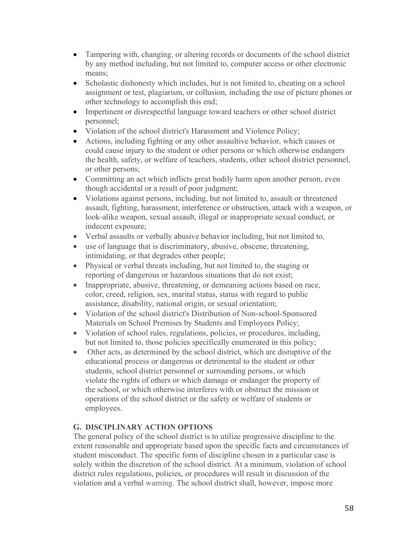- Tampering with, changing, or altering records or documents of the school district by any method including, but not limited to, computer access or other electronic means;
- Scholastic dishonesty which includes, but is not limited to, cheating on a school assignment or test, plagiarism, or collusion, including the use of picture phones or other technology to accomplish this end;
- Impertinent or disrespectful language toward teachers or other school district personnel;
- Violation of the school district's Harassment and Violence Policy;
- Actions, including fighting or any other assaultive behavior, which causes or could cause injury to the student or other persons or which otherwise endangers the health, safety, or welfare of teachers, students, other school district personnel, or other persons;
- Committing an act which inflicts great bodily harm upon another person, even though accidental or a result of poor judgment;
- Violations against persons, including, but not limited to, assault or threatened assault, fighting, harassment, interference or obstruction, attack with a weapon, or look-alike weapon, sexual assault, illegal or inappropriate sexual conduct, or indecent exposure;
- Verbal assaults or verbally abusive behavior including, but not limited to,
- use of language that is discriminatory, abusive, obscene, threatening, intimidating, or that degrades other people;
- Physical or verbal threats including, but not limited to, the staging or reporting of dangerous or hazardous situations that do not exist;
- Inappropriate, abusive, threatening, or demeaning actions based on race, color, creed, religion, sex, marital status, status with regard to public assistance, disability, national origin, or sexual orientation;
- Violation of the school district's Distribution of Non-school-Sponsored Materials on School Premises by Students and Employees Policy;
- Violation of school rules, regulations, policies, or procedures, including, but not limited to, those policies specifically enumerated in this policy;
- Other acts, as determined by the school district, which are disruptive of the educational process or dangerous or detrimental to the student or other students, school district personnel or surrounding persons, or which violate the rights of others or which damage or endanger the property of the school, or which otherwise interferes with or obstruct the mission or operations of the school district or the safety or welfare of students or employees.

# **G. DISCIPLINARY ACTION OPTIONS**

The general policy of the school district is to utilize progressive discipline to the extent reasonable and appropriate based upon the specific facts and circumstances of student misconduct. The specific form of discipline chosen in a particular case is solely within the discretion of the school district. At a minimum, violation of school district rules regulations, policies, or procedures will result in discussion of the violation and a verbal warning. The school district shall, however, impose more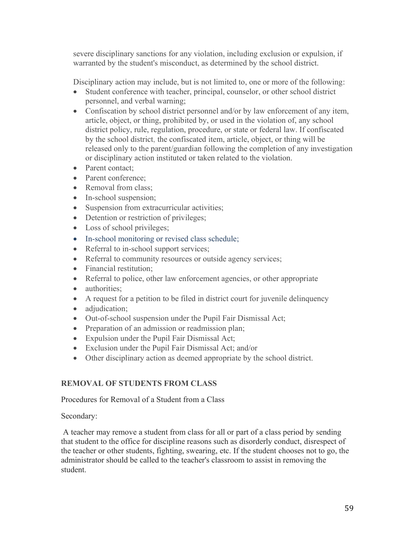severe disciplinary sanctions for any violation, including exclusion or expulsion, if warranted by the student's misconduct, as determined by the school district.

Disciplinary action may include, but is not limited to, one or more of the following:

- Student conference with teacher, principal, counselor, or other school district personnel, and verbal warning;
- Confiscation by school district personnel and/or by law enforcement of any item, article, object, or thing, prohibited by, or used in the violation of, any school district policy, rule, regulation, procedure, or state or federal law. If confiscated by the school district, the confiscated item, article, object, or thing will be released only to the parent/guardian following the completion of any investigation or disciplinary action instituted or taken related to the violation.
- Parent contact:
- Parent conference:
- Removal from class:
- In-school suspension;
- Suspension from extracurricular activities;
- Detention or restriction of privileges;
- Loss of school privileges;
- In-school monitoring or revised class schedule;
- Referral to in-school support services;
- Referral to community resources or outside agency services;
- Financial restitution;
- Referral to police, other law enforcement agencies, or other appropriate
- authorities:
- A request for a petition to be filed in district court for juvenile delinquency
- adjudication;
- Out-of-school suspension under the Pupil Fair Dismissal Act;
- Preparation of an admission or readmission plan;
- Expulsion under the Pupil Fair Dismissal Act;
- Exclusion under the Pupil Fair Dismissal Act; and/or
- Other disciplinary action as deemed appropriate by the school district.

# **REMOVAL OF STUDENTS FROM CLASS**

Procedures for Removal of a Student from a Class

Secondary:

A teacher may remove a student from class for all or part of a class period by sending that student to the office for discipline reasons such as disorderly conduct, disrespect of the teacher or other students, fighting, swearing, etc. If the student chooses not to go, the administrator should be called to the teacher's classroom to assist in removing the student.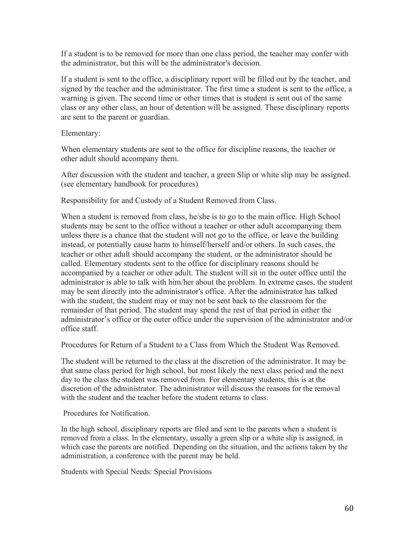If a student is to be removed for more than one class period, the teacher may confer with the administrator, but this will be the administrator's decision.

If a student is sent to the office, a disciplinary report will be filled out by the teacher, and signed by the teacher and the administrator. The first time a student is sent to the office, a warning is given. The second time or other times that is student is sent out of the same class or any other class, an hour of detention will be assigned. These disciplinary reports are sent to the parent or guardian.

#### Elementary:

When elementary students are sent to the office for discipline reasons, the teacher or other adult should accompany them.

After discussion with the student and teacher, a green Slip or white slip may be assigned. (see elementary handbook for procedures)

Responsibility for and Custody of a Student Removed from Class.

When a student is removed from class, he/she is to go to the main office. High School students may be sent to the office without a teacher or other adult accompanying them unless there is a chance that the student will not go to the office, or leave the building instead, or potentially cause harm to himself/herself and/or others. In such cases, the teacher or other adult should accompany the student, or the administrator should be called. Elementary students sent to the office for disciplinary reasons should be accompanied by a teacher or other adult. The student will sit in the outer office until the administrator is able to talk with him/her about the problem. In extreme cases, the student may be sent directly into the administrator's office. After the administrator has talked with the student, the student may or may not be sent back to the classroom for the remainder of that period. The student may spend the rest of that period in either the administrator's office or the outer office under the supervision of the administrator and/or office staff.

Procedures for Return of a Student to a Class from Which the Student Was Removed.

The student will be returned to the class at the discretion of the administrator. It may be that same class period for high school, but most likely the next class period and the next day to the class the student was removed from. For elementary students, this is at the discretion of the administrator. The administrator will discuss the reasons for the removal with the student and the teacher before the student returns to class.

Procedures for Notification.

In the high school, disciplinary reports are filed and sent to the parents when a student is removed from a class. In the elementary, usually a green slip or a white slip is assigned, in which case the parents are notified. Depending on the situation, and the actions taken by the administration, a conference with the parent may be held.

Students with Special Needs: Special Provisions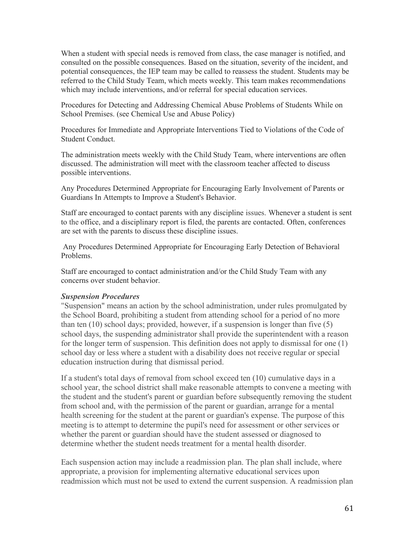When a student with special needs is removed from class, the case manager is notified, and consulted on the possible consequences. Based on the situation, severity of the incident, and potential consequences, the IEP team may be called to reassess the student. Students may be referred to the Child Study Team, which meets weekly. This team makes recommendations which may include interventions, and/or referral for special education services.

Procedures for Detecting and Addressing Chemical Abuse Problems of Students While on School Premises. (see Chemical Use and Abuse Policy)

Procedures for Immediate and Appropriate Interventions Tied to Violations of the Code of Student Conduct.

The administration meets weekly with the Child Study Team, where interventions are often discussed. The administration will meet with the classroom teacher affected to discuss possible interventions.

Any Procedures Determined Appropriate for Encouraging Early Involvement of Parents or Guardians In Attempts to Improve a Student's Behavior.

Staff are encouraged to contact parents with any discipline issues. Whenever a student is sent to the office, and a disciplinary report is filed, the parents are contacted. Often, conferences are set with the parents to discuss these discipline issues.

Any Procedures Determined Appropriate for Encouraging Early Detection of Behavioral Problems.

Staff are encouraged to contact administration and/or the Child Study Team with any concerns over student behavior.

#### *Suspension Procedures*

"Suspension" means an action by the school administration, under rules promulgated by the School Board, prohibiting a student from attending school for a period of no more than ten (10) school days; provided, however, if a suspension is longer than five (5) school days, the suspending administrator shall provide the superintendent with a reason for the longer term of suspension. This definition does not apply to dismissal for one (1) school day or less where a student with a disability does not receive regular or special education instruction during that dismissal period.

If a student's total days of removal from school exceed ten (10) cumulative days in a school year, the school district shall make reasonable attempts to convene a meeting with the student and the student's parent or guardian before subsequently removing the student from school and, with the permission of the parent or guardian, arrange for a mental health screening for the student at the parent or guardian's expense. The purpose of this meeting is to attempt to determine the pupil's need for assessment or other services or whether the parent or guardian should have the student assessed or diagnosed to determine whether the student needs treatment for a mental health disorder.

Each suspension action may include a readmission plan. The plan shall include, where appropriate, a provision for implementing alternative educational services upon readmission which must not be used to extend the current suspension. A readmission plan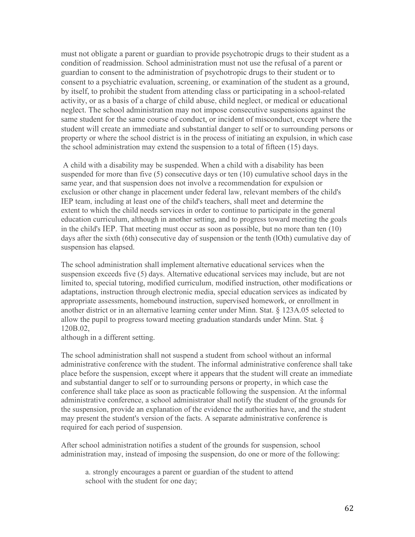must not obligate a parent or guardian to provide psychotropic drugs to their student as a condition of readmission. School administration must not use the refusal of a parent or guardian to consent to the administration of psychotropic drugs to their student or to consent to a psychiatric evaluation, screening, or examination of the student as a ground, by itself, to prohibit the student from attending class or participating in a school-related activity, or as a basis of a charge of child abuse, child neglect, or medical or educational neglect. The school administration may not impose consecutive suspensions against the same student for the same course of conduct, or incident of misconduct, except where the student will create an immediate and substantial danger to self or to surrounding persons or property or where the school district is in the process of initiating an expulsion, in which case the school administration may extend the suspension to a total of fifteen (15) days.

A child with a disability may be suspended. When a child with a disability has been suspended for more than five (5) consecutive days or ten (10) cumulative school days in the same year, and that suspension does not involve a recommendation for expulsion or exclusion or other change in placement under federal law, relevant members of the child's IEP team, including at least one of the child's teachers, shall meet and determine the extent to which the child needs services in order to continue to participate in the general education curriculum, although in another setting, and to progress toward meeting the goals in the child's IEP. That meeting must occur as soon as possible, but no more than ten (10) days after the sixth (6th) consecutive day of suspension or the tenth (lOth) cumulative day of suspension has elapsed.

The school administration shall implement alternative educational services when the suspension exceeds five (5) days. Alternative educational services may include, but are not limited to, special tutoring, modified curriculum, modified instruction, other modifications or adaptations, instruction through electronic media, special education services as indicated by appropriate assessments, homebound instruction, supervised homework, or enrollment in another district or in an alternative learning center under Minn. Stat. § 123A.05 selected to allow the pupil to progress toward meeting graduation standards under Minn. Stat. § 120B.02,

although in a different setting.

The school administration shall not suspend a student from school without an informal administrative conference with the student. The informal administrative conference shall take place before the suspension, except where it appears that the student will create an immediate and substantial danger to self or to surrounding persons or property, in which case the conference shall take place as soon as practicable following the suspension. At the informal administrative conference, a school administrator shall notify the student of the grounds for the suspension, provide an explanation of the evidence the authorities have, and the student may present the student's version of the facts. A separate administrative conference is required for each period of suspension.

After school administration notifies a student of the grounds for suspension, school administration may, instead of imposing the suspension, do one or more of the following:

a. strongly encourages a parent or guardian of the student to attend school with the student for one day;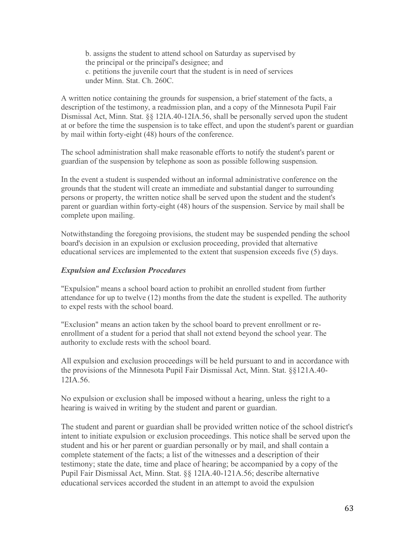b. assigns the student to attend school on Saturday as supervised by the principal or the principal's designee; and c. petitions the juvenile court that the student is in need of services under Minn. Stat. Ch. 260C.

A written notice containing the grounds for suspension, a brief statement of the facts, a description of the testimony, a readmission plan, and a copy of the Minnesota Pupil Fair Dismissal Act, Minn. Stat. §§ 12IA.40-12IA.56, shall be personally served upon the student at or before the time the suspension is to take effect, and upon the student's parent or guardian by mail within forty-eight (48) hours of the conference.

The school administration shall make reasonable efforts to notify the student's parent or guardian of the suspension by telephone as soon as possible following suspension.

In the event a student is suspended without an informal administrative conference on the grounds that the student will create an immediate and substantial danger to surrounding persons or property, the written notice shall be served upon the student and the student's parent or guardian within forty-eight (48) hours of the suspension. Service by mail shall be complete upon mailing.

Notwithstanding the foregoing provisions, the student may be suspended pending the school board's decision in an expulsion or exclusion proceeding, provided that alternative educational services are implemented to the extent that suspension exceeds five (5) days.

#### *Expulsion and Exclusion Procedures*

"Expulsion" means a school board action to prohibit an enrolled student from further attendance for up to twelve (12) months from the date the student is expelled. The authority to expel rests with the school board.

"Exclusion" means an action taken by the school board to prevent enrollment or reenrollment of a student for a period that shall not extend beyond the school year. The authority to exclude rests with the school board.

All expulsion and exclusion proceedings will be held pursuant to and in accordance with the provisions of the Minnesota Pupil Fair Dismissal Act, Minn. Stat. §§121A.40- 12IA.56.

No expulsion or exclusion shall be imposed without a hearing, unless the right to a hearing is waived in writing by the student and parent or guardian.

The student and parent or guardian shall be provided written notice of the school district's intent to initiate expulsion or exclusion proceedings. This notice shall be served upon the student and his or her parent or guardian personally or by mail, and shall contain a complete statement of the facts; a list of the witnesses and a description of their testimony; state the date, time and place of hearing; be accompanied by a copy of the Pupil Fair Dismissal Act, Minn. Stat. §§ 12IA.40-121A.56; describe alternative educational services accorded the student in an attempt to avoid the expulsion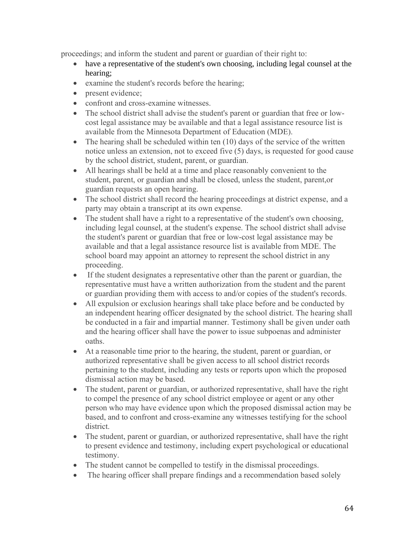proceedings; and inform the student and parent or guardian of their right to:

- have a representative of the student's own choosing, including legal counsel at the hearing;
- examine the student's records before the hearing;
- present evidence;
- confront and cross-examine witnesses.
- The school district shall advise the student's parent or guardian that free or lowcost legal assistance may be available and that a legal assistance resource list is available from the Minnesota Department of Education (MDE).
- The hearing shall be scheduled within ten  $(10)$  days of the service of the written notice unless an extension, not to exceed five (5) days, is requested for good cause by the school district, student, parent, or guardian.
- All hearings shall be held at a time and place reasonably convenient to the student, parent, or guardian and shall be closed, unless the student, parent,or guardian requests an open hearing.
- The school district shall record the hearing proceedings at district expense, and a party may obtain a transcript at its own expense.
- The student shall have a right to a representative of the student's own choosing, including legal counsel, at the student's expense. The school district shall advise the student's parent or guardian that free or low-cost legal assistance may be available and that a legal assistance resource list is available from MDE. The school board may appoint an attorney to represent the school district in any proceeding.
- If the student designates a representative other than the parent or guardian, the representative must have a written authorization from the student and the parent or guardian providing them with access to and/or copies of the student's records.
- All expulsion or exclusion hearings shall take place before and be conducted by an independent hearing officer designated by the school district. The hearing shall be conducted in a fair and impartial manner. Testimony shall be given under oath and the hearing officer shall have the power to issue subpoenas and administer oaths.
- At a reasonable time prior to the hearing, the student, parent or guardian, or authorized representative shall be given access to all school district records pertaining to the student, including any tests or reports upon which the proposed dismissal action may be based.
- The student, parent or guardian, or authorized representative, shall have the right to compel the presence of any school district employee or agent or any other person who may have evidence upon which the proposed dismissal action may be based, and to confront and cross-examine any witnesses testifying for the school district.
- The student, parent or guardian, or authorized representative, shall have the right to present evidence and testimony, including expert psychological or educational testimony.
- The student cannot be compelled to testify in the dismissal proceedings.
- The hearing officer shall prepare findings and a recommendation based solely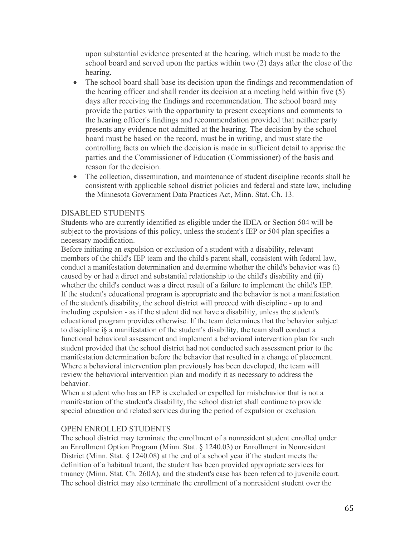upon substantial evidence presented at the hearing, which must be made to the school board and served upon the parties within two (2) days after the close of the hearing.

- The school board shall base its decision upon the findings and recommendation of the hearing officer and shall render its decision at a meeting held within five (5) days after receiving the findings and recommendation. The school board may provide the parties with the opportunity to present exceptions and comments to the hearing officer's findings and recommendation provided that neither party presents any evidence not admitted at the hearing. The decision by the school board must be based on the record, must be in writing, and must state the controlling facts on which the decision is made in sufficient detail to apprise the parties and the Commissioner of Education (Commissioner) of the basis and reason for the decision.
- The collection, dissemination, and maintenance of student discipline records shall be consistent with applicable school district policies and federal and state law, including the Minnesota Government Data Practices Act, Minn. Stat. Ch. 13.

#### DISABLED STUDENTS

Students who are currently identified as eligible under the IDEA or Section 504 will be subject to the provisions of this policy, unless the student's IEP or 504 plan specifies a necessary modification.

Before initiating an expulsion or exclusion of a student with a disability, relevant members of the child's IEP team and the child's parent shall, consistent with federal law, conduct a manifestation determination and determine whether the child's behavior was (i) caused by or had a direct and substantial relationship to the child's disability and (ii) whether the child's conduct was a direct result of a failure to implement the child's IEP. If the student's educational program is appropriate and the behavior is not a manifestation of the student's disability, the school district will proceed with discipline - up to and including expulsion - as if the student did not have a disability, unless the student's educational program provides otherwise. If the team determines that the behavior subject to discipline i§ a manifestation of the student's disability, the team shall conduct a functional behavioral assessment and implement a behavioral intervention plan for such student provided that the school district had not conducted such assessment prior to the manifestation determination before the behavior that resulted in a change of placement. Where a behavioral intervention plan previously has been developed, the team will review the behavioral intervention plan and modify it as necessary to address the behavior.

When a student who has an IEP is excluded or expelled for misbehavior that is not a manifestation of the student's disability, the school district shall continue to provide special education and related services during the period of expulsion or exclusion.

#### OPEN ENROLLED STUDENTS

The school district may terminate the enrollment of a nonresident student enrolled under an Enrollment Option Program (Minn. Stat. § 1240.03) or Enrollment in Nonresident District (Minn. Stat. § 1240.08) at the end of a school year if the student meets the definition of a habitual truant, the student has been provided appropriate services for truancy (Minn. Stat. Ch. 260A), and the student's case has been referred to juvenile court. The school district may also terminate the enrollment of a nonresident student over the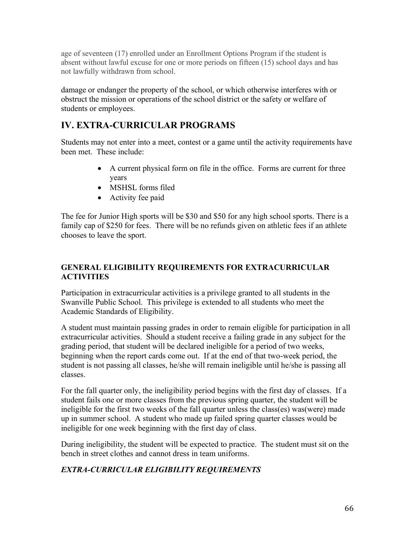age of seventeen (17) enrolled under an Enrollment Options Program if the student is absent without lawful excuse for one or more periods on fifteen (15) school days and has not lawfully withdrawn from school.

damage or endanger the property of the school, or which otherwise interferes with or obstruct the mission or operations of the school district or the safety or welfare of students or employees.

# **IV. EXTRA-CURRICULAR PROGRAMS**

Students may not enter into a meet, contest or a game until the activity requirements have been met. These include:

- A current physical form on file in the office. Forms are current for three years
- MSHSL forms filed
- Activity fee paid

The fee for Junior High sports will be \$30 and \$50 for any high school sports. There is a family cap of \$250 for fees. There will be no refunds given on athletic fees if an athlete chooses to leave the sport.

# **GENERAL ELIGIBILITY REQUIREMENTS FOR EXTRACURRICULAR ACTIVITIES**

Participation in extracurricular activities is a privilege granted to all students in the Swanville Public School. This privilege is extended to all students who meet the Academic Standards of Eligibility.

A student must maintain passing grades in order to remain eligible for participation in all extracurricular activities. Should a student receive a failing grade in any subject for the grading period, that student will be declared ineligible for a period of two weeks, beginning when the report cards come out. If at the end of that two-week period, the student is not passing all classes, he/she will remain ineligible until he/she is passing all classes.

For the fall quarter only, the ineligibility period begins with the first day of classes. If a student fails one or more classes from the previous spring quarter, the student will be ineligible for the first two weeks of the fall quarter unless the class(es) was(were) made up in summer school. A student who made up failed spring quarter classes would be ineligible for one week beginning with the first day of class.

During ineligibility, the student will be expected to practice. The student must sit on the bench in street clothes and cannot dress in team uniforms.

# *EXTRA-CURRICULAR ELIGIBILITY REQUIREMENTS*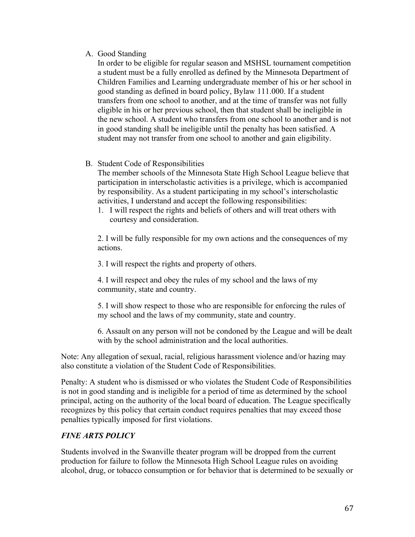#### A. Good Standing

In order to be eligible for regular season and MSHSL tournament competition a student must be a fully enrolled as defined by the Minnesota Department of Children Families and Learning undergraduate member of his or her school in good standing as defined in board policy, Bylaw 111.000. If a student transfers from one school to another, and at the time of transfer was not fully eligible in his or her previous school, then that student shall be ineligible in the new school. A student who transfers from one school to another and is not in good standing shall be ineligible until the penalty has been satisfied. A student may not transfer from one school to another and gain eligibility.

### B. Student Code of Responsibilities

The member schools of the Minnesota State High School League believe that participation in interscholastic activities is a privilege, which is accompanied by responsibility. As a student participating in my school's interscholastic activities, I understand and accept the following responsibilities:

1. I will respect the rights and beliefs of others and will treat others with courtesy and consideration.

2. I will be fully responsible for my own actions and the consequences of my actions.

3. I will respect the rights and property of others.

4. I will respect and obey the rules of my school and the laws of my community, state and country.

5. I will show respect to those who are responsible for enforcing the rules of my school and the laws of my community, state and country.

6. Assault on any person will not be condoned by the League and will be dealt with by the school administration and the local authorities.

Note: Any allegation of sexual, racial, religious harassment violence and/or hazing may also constitute a violation of the Student Code of Responsibilities.

Penalty: A student who is dismissed or who violates the Student Code of Responsibilities is not in good standing and is ineligible for a period of time as determined by the school principal, acting on the authority of the local board of education. The League specifically recognizes by this policy that certain conduct requires penalties that may exceed those penalties typically imposed for first violations.

# *FINE ARTS POLICY*

Students involved in the Swanville theater program will be dropped from the current production for failure to follow the Minnesota High School League rules on avoiding alcohol, drug, or tobacco consumption or for behavior that is determined to be sexually or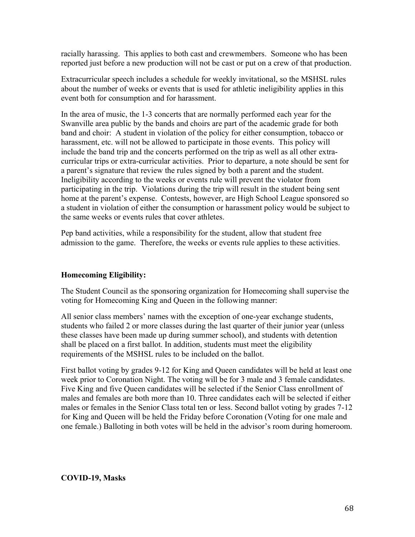racially harassing. This applies to both cast and crewmembers. Someone who has been reported just before a new production will not be cast or put on a crew of that production.

Extracurricular speech includes a schedule for weekly invitational, so the MSHSL rules about the number of weeks or events that is used for athletic ineligibility applies in this event both for consumption and for harassment.

In the area of music, the 1-3 concerts that are normally performed each year for the Swanville area public by the bands and choirs are part of the academic grade for both band and choir: A student in violation of the policy for either consumption, tobacco or harassment, etc. will not be allowed to participate in those events. This policy will include the band trip and the concerts performed on the trip as well as all other extracurricular trips or extra-curricular activities. Prior to departure, a note should be sent for a parent's signature that review the rules signed by both a parent and the student. Ineligibility according to the weeks or events rule will prevent the violator from participating in the trip. Violations during the trip will result in the student being sent home at the parent's expense. Contests, however, are High School League sponsored so a student in violation of either the consumption or harassment policy would be subject to the same weeks or events rules that cover athletes.

Pep band activities, while a responsibility for the student, allow that student free admission to the game. Therefore, the weeks or events rule applies to these activities.

### **Homecoming Eligibility:**

The Student Council as the sponsoring organization for Homecoming shall supervise the voting for Homecoming King and Queen in the following manner:

All senior class members' names with the exception of one-year exchange students, students who failed 2 or more classes during the last quarter of their junior year (unless these classes have been made up during summer school), and students with detention shall be placed on a first ballot. In addition, students must meet the eligibility requirements of the MSHSL rules to be included on the ballot.

First ballot voting by grades 9-12 for King and Queen candidates will be held at least one week prior to Coronation Night. The voting will be for 3 male and 3 female candidates. Five King and five Queen candidates will be selected if the Senior Class enrollment of males and females are both more than 10. Three candidates each will be selected if either males or females in the Senior Class total ten or less. Second ballot voting by grades 7-12 for King and Queen will be held the Friday before Coronation (Voting for one male and one female.) Balloting in both votes will be held in the advisor's room during homeroom.

#### **COVID-19, Masks**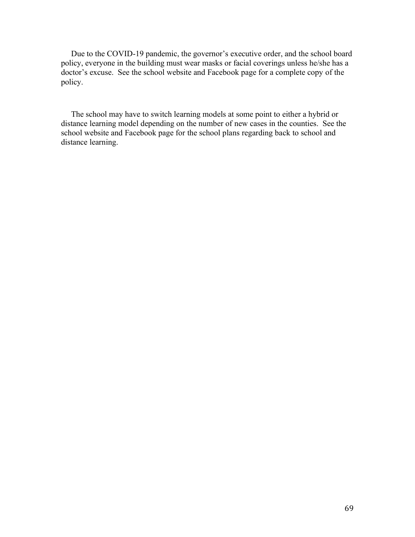Due to the COVID-19 pandemic, the governor's executive order, and the school board policy, everyone in the building must wear masks or facial coverings unless he/she has a doctor's excuse. See the school website and Facebook page for a complete copy of the policy.

 The school may have to switch learning models at some point to either a hybrid or distance learning model depending on the number of new cases in the counties. See the school website and Facebook page for the school plans regarding back to school and distance learning.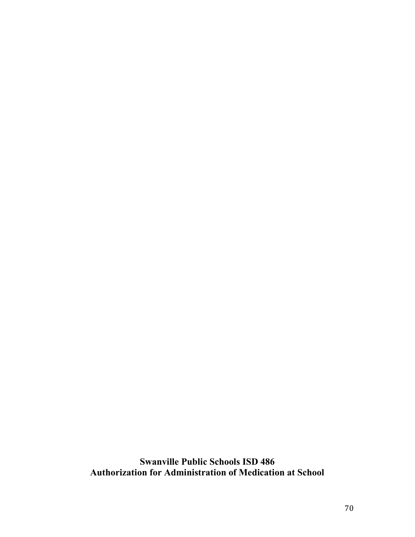**Swanville Public Schools ISD 486 Authorization for Administration of Medication at School**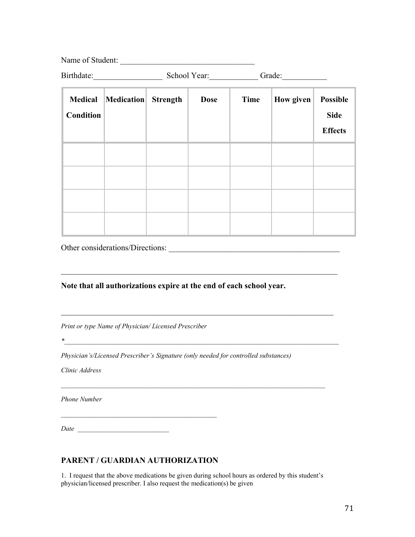Name of Student: \_\_\_\_\_\_\_\_\_\_\_\_\_\_\_\_\_\_\_\_\_\_\_\_\_\_\_\_\_\_\_\_\_ Birthdate:\_\_\_\_\_\_\_\_\_\_\_\_\_\_\_\_\_ School Year:\_\_\_\_\_\_\_\_\_\_\_\_ Grade:\_\_\_\_\_\_\_\_\_\_\_

| <b>Medical</b><br><b>Condition</b> | Medication Strength | <b>Dose</b> | Time | How given | Possible<br><b>Side</b><br><b>Effects</b> |
|------------------------------------|---------------------|-------------|------|-----------|-------------------------------------------|
|                                    |                     |             |      |           |                                           |
|                                    |                     |             |      |           |                                           |
|                                    |                     |             |      |           |                                           |
|                                    |                     |             |      |           |                                           |

Other considerations/Directions:

**Note that all authorizations expire at the end of each school year.**

 $\mathcal{L}_\mathcal{L} = \mathcal{L}_\mathcal{L} = \mathcal{L}_\mathcal{L} = \mathcal{L}_\mathcal{L} = \mathcal{L}_\mathcal{L} = \mathcal{L}_\mathcal{L} = \mathcal{L}_\mathcal{L} = \mathcal{L}_\mathcal{L} = \mathcal{L}_\mathcal{L} = \mathcal{L}_\mathcal{L} = \mathcal{L}_\mathcal{L} = \mathcal{L}_\mathcal{L} = \mathcal{L}_\mathcal{L} = \mathcal{L}_\mathcal{L} = \mathcal{L}_\mathcal{L} = \mathcal{L}_\mathcal{L} = \mathcal{L}_\mathcal{L}$ 

 $*$ 

*Print or type Name of Physician/ Licensed Prescriber*

*Physician's/Licensed Prescriber's Signature (only needed for controlled substances)* 

*Clinic Address*

*Phone Number*

*Date \_\_\_\_\_\_\_\_\_\_\_\_\_\_\_\_\_\_\_\_\_\_\_\_\_\_\_*

### **PARENT / GUARDIAN AUTHORIZATION**

1. I request that the above medications be given during school hours as ordered by this student's physician/licensed prescriber. I also request the medication(s) be given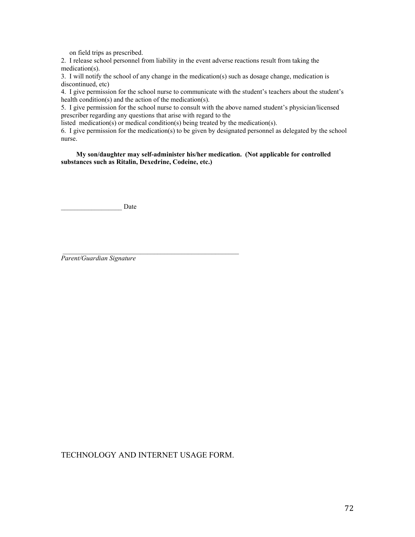on field trips as prescribed.

2. I release school personnel from liability in the event adverse reactions result from taking the medication(s).

3. I will notify the school of any change in the medication(s) such as dosage change, medication is discontinued, etc)

4. I give permission for the school nurse to communicate with the student's teachers about the student's health condition(s) and the action of the medication(s).

5. I give permission for the school nurse to consult with the above named student's physician/licensed prescriber regarding any questions that arise with regard to the

listed medication(s) or medical condition(s) being treated by the medication(s).

6. I give permission for the medication(s) to be given by designated personnel as delegated by the school nurse.

 **My son/daughter may self-administer his/her medication. (Not applicable for controlled substances such as Ritalin, Dexedrine, Codeine, etc.)**

 $\frac{1}{2}$  ,  $\frac{1}{2}$  ,  $\frac{1}{2}$  ,  $\frac{1}{2}$  ,  $\frac{1}{2}$  ,  $\frac{1}{2}$  ,  $\frac{1}{2}$  ,  $\frac{1}{2}$  ,  $\frac{1}{2}$  ,  $\frac{1}{2}$  ,  $\frac{1}{2}$  ,  $\frac{1}{2}$  ,  $\frac{1}{2}$  ,  $\frac{1}{2}$  ,  $\frac{1}{2}$  ,  $\frac{1}{2}$  ,  $\frac{1}{2}$  ,  $\frac{1}{2}$  ,  $\frac{1$ 

Date

*Parent/Guardian Signature*

TECHNOLOGY AND INTERNET USAGE FORM.